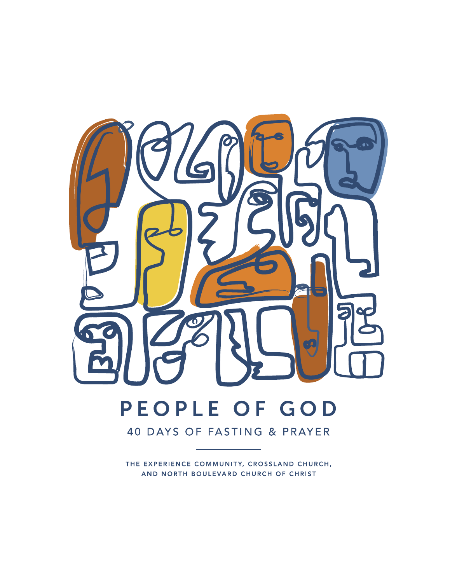

40 DAYS OF FASTING & PRAYER

THE EXPERIENCE COMMUNITY, CROSSLAND CHURCH, AND NORTH BOULEVARD CHURCH OF CHRIST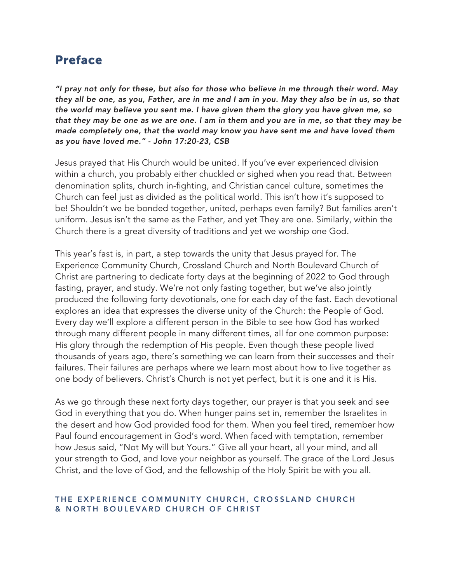### Preface

*"I pray not only for these, but also for those who believe in me through their word. May they all be one, as you, Father, are in me and I am in you. May they also be in us, so that the world may believe you sent me. I have given them the glory you have given me, so that they may be one as we are one. I am in them and you are in me, so that they may be made completely one, that the world may know you have sent me and have loved them as you have loved me." - John 17:20-23, CSB*

Jesus prayed that His Church would be united. If you've ever experienced division within a church, you probably either chuckled or sighed when you read that. Between denomination splits, church in-fighting, and Christian cancel culture, sometimes the Church can feel just as divided as the political world. This isn't how it's supposed to be! Shouldn't we be bonded together, united, perhaps even family? But families aren't uniform. Jesus isn't the same as the Father, and yet They are one. Similarly, within the Church there is a great diversity of traditions and yet we worship one God.

This year's fast is, in part, a step towards the unity that Jesus prayed for. The Experience Community Church, Crossland Church and North Boulevard Church of Christ are partnering to dedicate forty days at the beginning of 2022 to God through fasting, prayer, and study. We're not only fasting together, but we've also jointly produced the following forty devotionals, one for each day of the fast. Each devotional explores an idea that expresses the diverse unity of the Church: the People of God. Every day we'll explore a different person in the Bible to see how God has worked through many different people in many different times, all for one common purpose: His glory through the redemption of His people. Even though these people lived thousands of years ago, there's something we can learn from their successes and their failures. Their failures are perhaps where we learn most about how to live together as one body of believers. Christ's Church is not yet perfect, but it is one and it is His.

As we go through these next forty days together, our prayer is that you seek and see God in everything that you do. When hunger pains set in, remember the Israelites in the desert and how God provided food for them. When you feel tired, remember how Paul found encouragement in God's word. When faced with temptation, remember how Jesus said, "Not My will but Yours." Give all your heart, all your mind, and all your strength to God, and love your neighbor as yourself. The grace of the Lord Jesus Christ, and the love of God, and the fellowship of the Holy Spirit be with you all.

#### THE EXPERIENCE COMMUNITY CHURCH, CROSSLAND CHURCH & NORTH BOULEVARD CHURCH OF CHRIST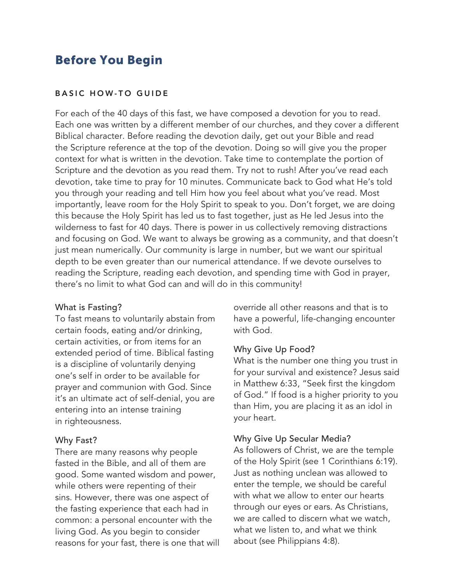### Before You Begin

#### BASIC HOW-TO GUIDE

For each of the 40 days of this fast, we have composed a devotion for you to read. Each one was written by a different member of our churches, and they cover a different Biblical character. Before reading the devotion daily, get out your Bible and read the Scripture reference at the top of the devotion. Doing so will give you the proper context for what is written in the devotion. Take time to contemplate the portion of Scripture and the devotion as you read them. Try not to rush! After you've read each devotion, take time to pray for 10 minutes. Communicate back to God what He's told you through your reading and tell Him how you feel about what you've read. Most importantly, leave room for the Holy Spirit to speak to you. Don't forget, we are doing this because the Holy Spirit has led us to fast together, just as He led Jesus into the wilderness to fast for 40 days. There is power in us collectively removing distractions and focusing on God. We want to always be growing as a community, and that doesn't just mean numerically. Our community is large in number, but we want our spiritual depth to be even greater than our numerical attendance. If we devote ourselves to reading the Scripture, reading each devotion, and spending time with God in prayer, there's no limit to what God can and will do in this community!

#### What is Fasting?

To fast means to voluntarily abstain from certain foods, eating and/or drinking, certain activities, or from items for an extended period of time. Biblical fasting is a discipline of voluntarily denying one's self in order to be available for prayer and communion with God. Since it's an ultimate act of self-denial, you are entering into an intense training in righteousness.

#### Why Fast?

There are many reasons why people fasted in the Bible, and all of them are good. Some wanted wisdom and power, while others were repenting of their sins. However, there was one aspect of the fasting experience that each had in common: a personal encounter with the living God. As you begin to consider reasons for your fast, there is one that will override all other reasons and that is to have a powerful, life-changing encounter with God.

#### Why Give Up Food?

What is the number one thing you trust in for your survival and existence? Jesus said in Matthew 6:33, "Seek first the kingdom of God." If food is a higher priority to you than Him, you are placing it as an idol in your heart.

#### Why Give Up Secular Media?

As followers of Christ, we are the temple of the Holy Spirit (see 1 Corinthians 6:19). Just as nothing unclean was allowed to enter the temple, we should be careful with what we allow to enter our hearts through our eyes or ears. As Christians, we are called to discern what we watch, what we listen to, and what we think about (see Philippians 4:8).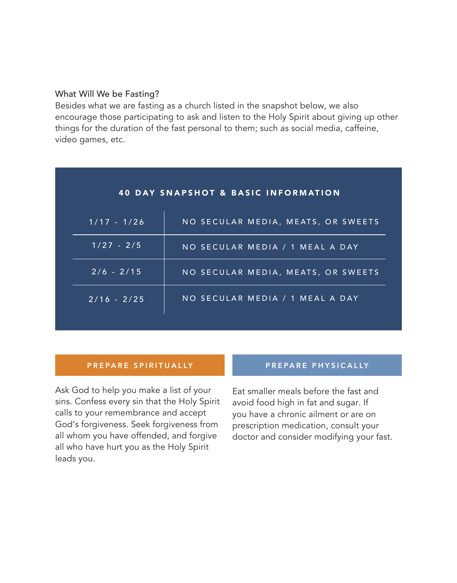#### What Will We be Fasting?

Besides what we are fasting as a church listed in the snapshot below, we also encourage those participating to ask and listen to the Holy Spirit about giving up other things for the duration of the fast personal to them; such as social media, caffeine, video games, etc.

| <b>40 DAY SNAPSHOT &amp; BASIC INFORMATION</b> |                                    |
|------------------------------------------------|------------------------------------|
| $1/17 - 1/26$                                  | NO SECULAR MEDIA, MEATS, OR SWEETS |
| $1/27 - 2/5$                                   | NO SECULAR MEDIA / 1 MEAL A DAY    |
| $2/6 - 2/15$                                   | NO SECULAR MEDIA, MEATS, OR SWEETS |
| $2/16 - 2/25$                                  | NO SECULAR MEDIA / 1 MEAL A DAY    |

#### PREPARE SPIRITUALLY **PREPARE PHYSICALLY**

Ask God to help you make a list of your sins. Confess every sin that the Holy Spirit calls to your remembrance and accept God's forgiveness. Seek forgiveness from all whom you have offended, and forgive all who have hurt you as the Holy Spirit leads you.

Eat smaller meals before the fast and avoid food high in fat and sugar. If you have a chronic ailment or are on prescription medication, consult your doctor and consider modifying your fast.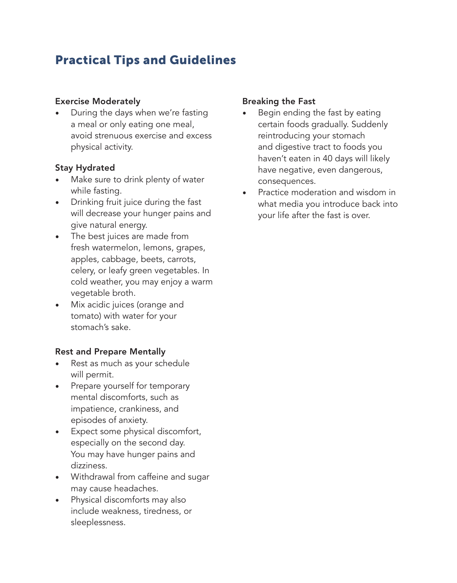# Practical Tips and Guidelines

#### Exercise Moderately

• During the days when we're fasting a meal or only eating one meal, avoid strenuous exercise and excess physical activity.

### Stay Hydrated

- Make sure to drink plenty of water while fasting.
- Drinking fruit juice during the fast will decrease your hunger pains and give natural energy.
- The best juices are made from fresh watermelon, lemons, grapes, apples, cabbage, beets, carrots, celery, or leafy green vegetables. In cold weather, you may enjoy a warm vegetable broth.
- Mix acidic juices (orange and tomato) with water for your stomach's sake.

### Rest and Prepare Mentally

- Rest as much as your schedule will permit.
- Prepare yourself for temporary mental discomforts, such as impatience, crankiness, and episodes of anxiety.
- Expect some physical discomfort, especially on the second day. You may have hunger pains and dizziness.
- Withdrawal from caffeine and sugar may cause headaches.
- Physical discomforts may also include weakness, tiredness, or sleeplessness.

### Breaking the Fast

- Begin ending the fast by eating certain foods gradually. Suddenly reintroducing your stomach and digestive tract to foods you haven't eaten in 40 days will likely have negative, even dangerous, consequences.
- Practice moderation and wisdom in what media you introduce back into your life after the fast is over.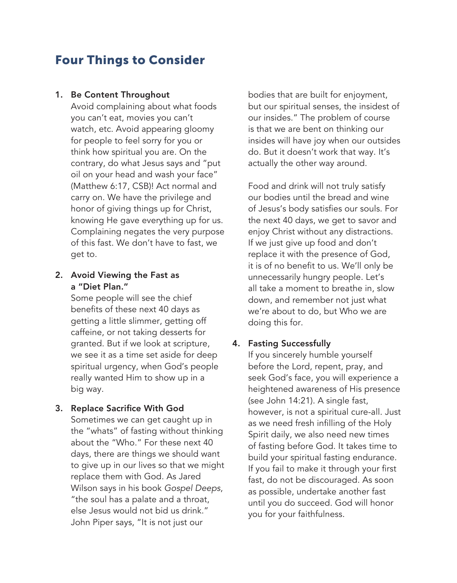### Four Things to Consider

#### 1. Be Content Throughout

Avoid complaining about what foods you can't eat, movies you can't watch, etc. Avoid appearing gloomy for people to feel sorry for you or think how spiritual you are. On the contrary, do what Jesus says and "put oil on your head and wash your face" (Matthew 6:17, CSB)! Act normal and carry on. We have the privilege and honor of giving things up for Christ, knowing He gave everything up for us. Complaining negates the very purpose of this fast. We don't have to fast, we get to.

#### 2. Avoid Viewing the Fast as a "Diet Plan."

Some people will see the chief benefits of these next 40 days as getting a little slimmer, getting off caffeine, or not taking desserts for granted. But if we look at scripture, we see it as a time set aside for deep spiritual urgency, when God's people really wanted Him to show up in a big way.

#### 3. Replace Sacrifice With God

Sometimes we can get caught up in the "whats" of fasting without thinking about the "Who." For these next 40 days, there are things we should want to give up in our lives so that we might replace them with God. As Jared Wilson says in his book *Gospel Deeps*, "the soul has a palate and a throat, else Jesus would not bid us drink." John Piper says, "It is not just our

bodies that are built for enjoyment, but our spiritual senses, the insidest of our insides." The problem of course is that we are bent on thinking our insides will have joy when our outsides do. But it doesn't work that way. It's actually the other way around.

Food and drink will not truly satisfy our bodies until the bread and wine of Jesus's body satisfies our souls. For the next 40 days, we get to savor and enjoy Christ without any distractions. If we just give up food and don't replace it with the presence of God, it is of no benefit to us. We'll only be unnecessarily hungry people. Let's all take a moment to breathe in, slow down, and remember not just what we're about to do, but Who we are doing this for.

#### 4. Fasting Successfully

If you sincerely humble yourself before the Lord, repent, pray, and seek God's face, you will experience a heightened awareness of His presence (see John 14:21). A single fast, however, is not a spiritual cure-all. Just as we need fresh infilling of the Holy Spirit daily, we also need new times of fasting before God. It takes time to build your spiritual fasting endurance. If you fail to make it through your first fast, do not be discouraged. As soon as possible, undertake another fast until you do succeed. God will honor you for your faithfulness.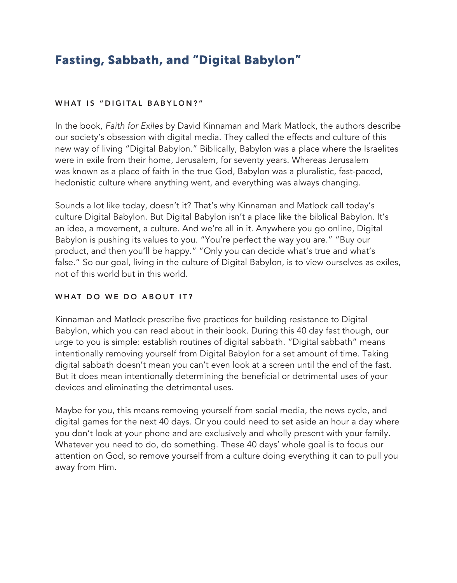# Fasting, Sabbath, and "Digital Babylon"

#### WHAT IS "DIGITAL BABYLON?"

In the book, *Faith for Exiles* by David Kinnaman and Mark Matlock, the authors describe our society's obsession with digital media. They called the effects and culture of this new way of living "Digital Babylon." Biblically, Babylon was a place where the Israelites were in exile from their home, Jerusalem, for seventy years. Whereas Jerusalem was known as a place of faith in the true God, Babylon was a pluralistic, fast-paced, hedonistic culture where anything went, and everything was always changing.

Sounds a lot like today, doesn't it? That's why Kinnaman and Matlock call today's culture Digital Babylon. But Digital Babylon isn't a place like the biblical Babylon. It's an idea, a movement, a culture. And we're all in it. Anywhere you go online, Digital Babylon is pushing its values to you. "You're perfect the way you are." "Buy our product, and then you'll be happy." "Only you can decide what's true and what's false." So our goal, living in the culture of Digital Babylon, is to view ourselves as exiles, not of this world but in this world.

#### WHAT DO WE DO ABOUT IT?

Kinnaman and Matlock prescribe five practices for building resistance to Digital Babylon, which you can read about in their book. During this 40 day fast though, our urge to you is simple: establish routines of digital sabbath. "Digital sabbath" means intentionally removing yourself from Digital Babylon for a set amount of time. Taking digital sabbath doesn't mean you can't even look at a screen until the end of the fast. But it does mean intentionally determining the beneficial or detrimental uses of your devices and eliminating the detrimental uses.

Maybe for you, this means removing yourself from social media, the news cycle, and digital games for the next 40 days. Or you could need to set aside an hour a day where you don't look at your phone and are exclusively and wholly present with your family. Whatever you need to do, do something. These 40 days' whole goal is to focus our attention on God, so remove yourself from a culture doing everything it can to pull you away from Him.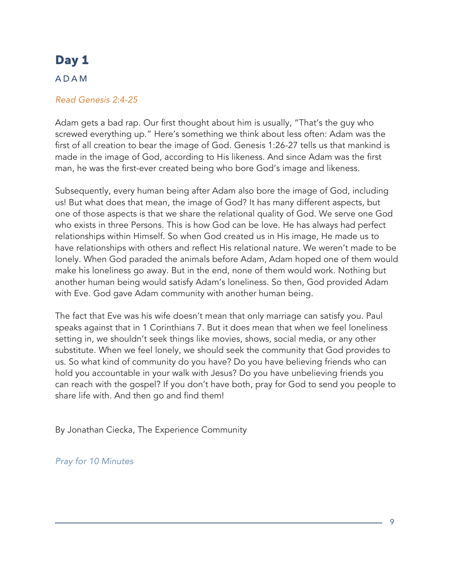### ADAM

#### *Read Genesis 2:4-25*

Adam gets a bad rap. Our first thought about him is usually, "That's the guy who screwed everything up." Here's something we think about less often: Adam was the first of all creation to bear the image of God. Genesis 1:26-27 tells us that mankind is made in the image of God, according to His likeness. And since Adam was the first man, he was the first-ever created being who bore God's image and likeness.

Subsequently, every human being after Adam also bore the image of God, including us! But what does that mean, the image of God? It has many different aspects, but one of those aspects is that we share the relational quality of God. We serve one God who exists in three Persons. This is how God can be love. He has always had perfect relationships within Himself. So when God created us in His image, He made us to have relationships with others and reflect His relational nature. We weren't made to be lonely. When God paraded the animals before Adam, Adam hoped one of them would make his loneliness go away. But in the end, none of them would work. Nothing but another human being would satisfy Adam's loneliness. So then, God provided Adam with Eve. God gave Adam community with another human being.

The fact that Eve was his wife doesn't mean that only marriage can satisfy you. Paul speaks against that in 1 Corinthians 7. But it does mean that when we feel loneliness setting in, we shouldn't seek things like movies, shows, social media, or any other substitute. When we feel lonely, we should seek the community that God provides to us. So what kind of community do you have? Do you have believing friends who can hold you accountable in your walk with Jesus? Do you have unbelieving friends you can reach with the gospel? If you don't have both, pray for God to send you people to share life with. And then go and find them!

By Jonathan Ciecka, The Experience Community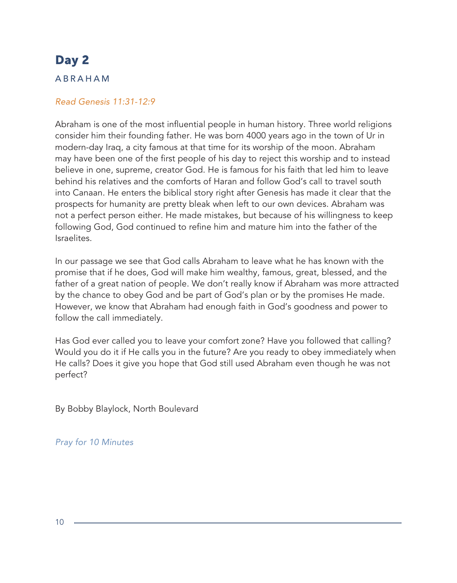#### ABRAHAM

#### *Read Genesis 11:31-12:9*

Abraham is one of the most influential people in human history. Three world religions consider him their founding father. He was born 4000 years ago in the town of Ur in modern-day Iraq, a city famous at that time for its worship of the moon. Abraham may have been one of the first people of his day to reject this worship and to instead believe in one, supreme, creator God. He is famous for his faith that led him to leave behind his relatives and the comforts of Haran and follow God's call to travel south into Canaan. He enters the biblical story right after Genesis has made it clear that the prospects for humanity are pretty bleak when left to our own devices. Abraham was not a perfect person either. He made mistakes, but because of his willingness to keep following God, God continued to refine him and mature him into the father of the Israelites.

In our passage we see that God calls Abraham to leave what he has known with the promise that if he does, God will make him wealthy, famous, great, blessed, and the father of a great nation of people. We don't really know if Abraham was more attracted by the chance to obey God and be part of God's plan or by the promises He made. However, we know that Abraham had enough faith in God's goodness and power to follow the call immediately.

Has God ever called you to leave your comfort zone? Have you followed that calling? Would you do it if He calls you in the future? Are you ready to obey immediately when He calls? Does it give you hope that God still used Abraham even though he was not perfect?

By Bobby Blaylock, North Boulevard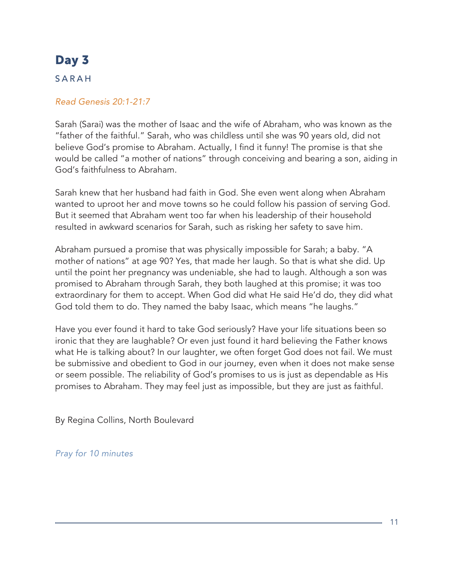### SARAH

#### *Read Genesis 20:1-21:7*

Sarah (Sarai) was the mother of Isaac and the wife of Abraham, who was known as the "father of the faithful." Sarah, who was childless until she was 90 years old, did not believe God's promise to Abraham. Actually, I find it funny! The promise is that she would be called "a mother of nations" through conceiving and bearing a son, aiding in God's faithfulness to Abraham.

Sarah knew that her husband had faith in God. She even went along when Abraham wanted to uproot her and move towns so he could follow his passion of serving God. But it seemed that Abraham went too far when his leadership of their household resulted in awkward scenarios for Sarah, such as risking her safety to save him.

Abraham pursued a promise that was physically impossible for Sarah; a baby. "A mother of nations" at age 90? Yes, that made her laugh. So that is what she did. Up until the point her pregnancy was undeniable, she had to laugh. Although a son was promised to Abraham through Sarah, they both laughed at this promise; it was too extraordinary for them to accept. When God did what He said He'd do, they did what God told them to do. They named the baby Isaac, which means "he laughs."

Have you ever found it hard to take God seriously? Have your life situations been so ironic that they are laughable? Or even just found it hard believing the Father knows what He is talking about? In our laughter, we often forget God does not fail. We must be submissive and obedient to God in our journey, even when it does not make sense or seem possible. The reliability of God's promises to us is just as dependable as His promises to Abraham. They may feel just as impossible, but they are just as faithful.

By Regina Collins, North Boulevard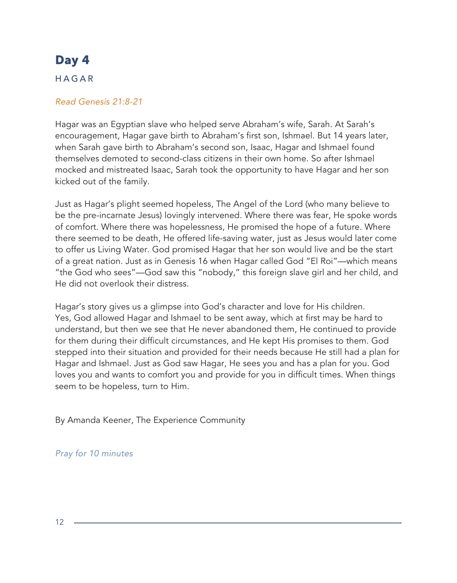#### HAGAR

#### *Read Genesis 21:8-21*

Hagar was an Egyptian slave who helped serve Abraham's wife, Sarah. At Sarah's encouragement, Hagar gave birth to Abraham's first son, Ishmael. But 14 years later, when Sarah gave birth to Abraham's second son, Isaac, Hagar and Ishmael found themselves demoted to second-class citizens in their own home. So after Ishmael mocked and mistreated Isaac, Sarah took the opportunity to have Hagar and her son kicked out of the family.

Just as Hagar's plight seemed hopeless, The Angel of the Lord (who many believe to be the pre-incarnate Jesus) lovingly intervened. Where there was fear, He spoke words of comfort. Where there was hopelessness, He promised the hope of a future. Where there seemed to be death, He offered life-saving water, just as Jesus would later come to offer us Living Water. God promised Hagar that her son would live and be the start of a great nation. Just as in Genesis 16 when Hagar called God "El Roi"—which means "the God who sees"—God saw this "nobody," this foreign slave girl and her child, and He did not overlook their distress.

Hagar's story gives us a glimpse into God's character and love for His children. Yes, God allowed Hagar and Ishmael to be sent away, which at first may be hard to understand, but then we see that He never abandoned them, He continued to provide for them during their difficult circumstances, and He kept His promises to them. God stepped into their situation and provided for their needs because He still had a plan for Hagar and Ishmael. Just as God saw Hagar, He sees you and has a plan for you. God loves you and wants to comfort you and provide for you in difficult times. When things seem to be hopeless, turn to Him.

By Amanda Keener, The Experience Community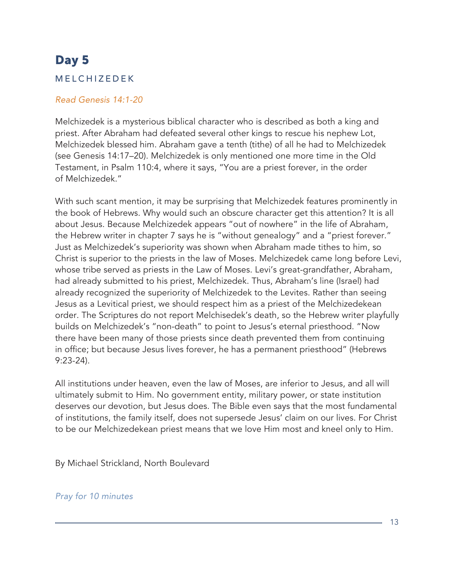### MELCHIZEDEK

#### *Read Genesis 14:1-20*

Melchizedek is a mysterious biblical character who is described as both a king and priest. After Abraham had defeated several other kings to rescue his nephew Lot, Melchizedek blessed him. Abraham gave a tenth (tithe) of all he had to Melchizedek (see Genesis 14:17–20). Melchizedek is only mentioned one more time in the Old Testament, in Psalm 110:4, where it says, "You are a priest forever, in the order of Melchizedek."

With such scant mention, it may be surprising that Melchizedek features prominently in the book of Hebrews. Why would such an obscure character get this attention? It is all about Jesus. Because Melchizedek appears "out of nowhere" in the life of Abraham, the Hebrew writer in chapter 7 says he is "without genealogy" and a "priest forever." Just as Melchizedek's superiority was shown when Abraham made tithes to him, so Christ is superior to the priests in the law of Moses. Melchizedek came long before Levi, whose tribe served as priests in the Law of Moses. Levi's great-grandfather, Abraham, had already submitted to his priest, Melchizedek. Thus, Abraham's line (Israel) had already recognized the superiority of Melchizedek to the Levites. Rather than seeing Jesus as a Levitical priest, we should respect him as a priest of the Melchizedekean order. The Scriptures do not report Melchisedek's death, so the Hebrew writer playfully builds on Melchizedek's "non-death" to point to Jesus's eternal priesthood. "Now there have been many of those priests since death prevented them from continuing in office; but because Jesus lives forever, he has a permanent priesthood" (Hebrews 9:23-24).

All institutions under heaven, even the law of Moses, are inferior to Jesus, and all will ultimately submit to Him. No government entity, military power, or state institution deserves our devotion, but Jesus does. The Bible even says that the most fundamental of institutions, the family itself, does not supersede Jesus' claim on our lives. For Christ to be our Melchizedekean priest means that we love Him most and kneel only to Him.

By Michael Strickland, North Boulevard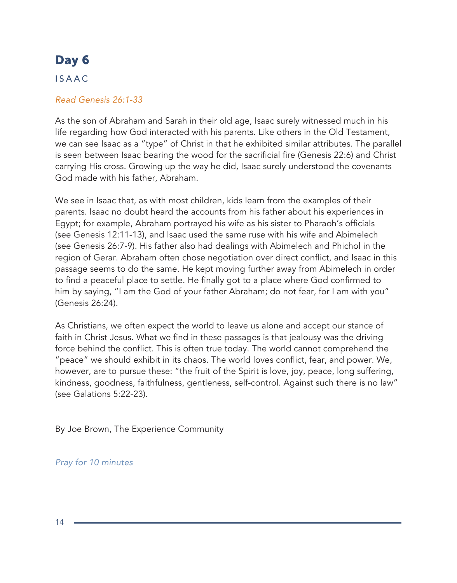### **ISAAC**

#### *Read Genesis 26:1-33*

As the son of Abraham and Sarah in their old age, Isaac surely witnessed much in his life regarding how God interacted with his parents. Like others in the Old Testament, we can see Isaac as a "type" of Christ in that he exhibited similar attributes. The parallel is seen between Isaac bearing the wood for the sacrificial fire (Genesis 22:6) and Christ carrying His cross. Growing up the way he did, Isaac surely understood the covenants God made with his father, Abraham.

We see in Isaac that, as with most children, kids learn from the examples of their parents. Isaac no doubt heard the accounts from his father about his experiences in Egypt; for example, Abraham portrayed his wife as his sister to Pharaoh's officials (see Genesis 12:11-13), and Isaac used the same ruse with his wife and Abimelech (see Genesis 26:7-9). His father also had dealings with Abimelech and Phichol in the region of Gerar. Abraham often chose negotiation over direct conflict, and Isaac in this passage seems to do the same. He kept moving further away from Abimelech in order to find a peaceful place to settle. He finally got to a place where God confirmed to him by saying, "I am the God of your father Abraham; do not fear, for I am with you" (Genesis 26:24).

As Christians, we often expect the world to leave us alone and accept our stance of faith in Christ Jesus. What we find in these passages is that jealousy was the driving force behind the conflict. This is often true today. The world cannot comprehend the "peace" we should exhibit in its chaos. The world loves conflict, fear, and power. We, however, are to pursue these: "the fruit of the Spirit is love, joy, peace, long suffering, kindness, goodness, faithfulness, gentleness, self-control. Against such there is no law" (see Galations 5:22-23).

By Joe Brown, The Experience Community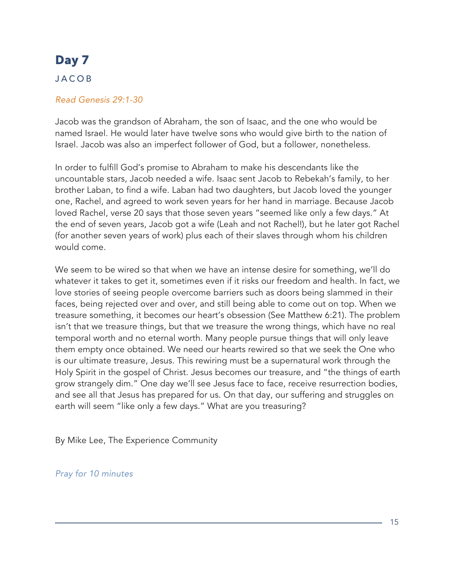### JACOB

#### *Read Genesis 29:1-30*

Jacob was the grandson of Abraham, the son of Isaac, and the one who would be named Israel. He would later have twelve sons who would give birth to the nation of Israel. Jacob was also an imperfect follower of God, but a follower, nonetheless.

In order to fulfill God's promise to Abraham to make his descendants like the uncountable stars, Jacob needed a wife. Isaac sent Jacob to Rebekah's family, to her brother Laban, to find a wife. Laban had two daughters, but Jacob loved the younger one, Rachel, and agreed to work seven years for her hand in marriage. Because Jacob loved Rachel, verse 20 says that those seven years "seemed like only a few days." At the end of seven years, Jacob got a wife (Leah and not Rachel!), but he later got Rachel (for another seven years of work) plus each of their slaves through whom his children would come.

We seem to be wired so that when we have an intense desire for something, we'll do whatever it takes to get it, sometimes even if it risks our freedom and health. In fact, we love stories of seeing people overcome barriers such as doors being slammed in their faces, being rejected over and over, and still being able to come out on top. When we treasure something, it becomes our heart's obsession (See Matthew 6:21). The problem isn't that we treasure things, but that we treasure the wrong things, which have no real temporal worth and no eternal worth. Many people pursue things that will only leave them empty once obtained. We need our hearts rewired so that we seek the One who is our ultimate treasure, Jesus. This rewiring must be a supernatural work through the Holy Spirit in the gospel of Christ. Jesus becomes our treasure, and "the things of earth grow strangely dim." One day we'll see Jesus face to face, receive resurrection bodies, and see all that Jesus has prepared for us. On that day, our suffering and struggles on earth will seem "like only a few days." What are you treasuring?

By Mike Lee, The Experience Community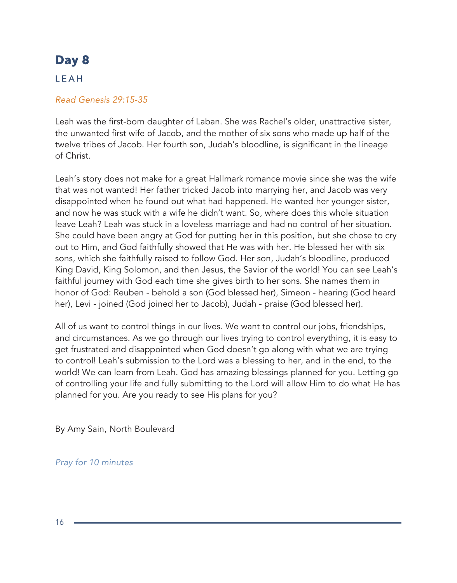### LEAH

#### *Read Genesis 29:15-35*

Leah was the first-born daughter of Laban. She was Rachel's older, unattractive sister, the unwanted first wife of Jacob, and the mother of six sons who made up half of the twelve tribes of Jacob. Her fourth son, Judah's bloodline, is significant in the lineage of Christ.

Leah's story does not make for a great Hallmark romance movie since she was the wife that was not wanted! Her father tricked Jacob into marrying her, and Jacob was very disappointed when he found out what had happened. He wanted her younger sister, and now he was stuck with a wife he didn't want. So, where does this whole situation leave Leah? Leah was stuck in a loveless marriage and had no control of her situation. She could have been angry at God for putting her in this position, but she chose to cry out to Him, and God faithfully showed that He was with her. He blessed her with six sons, which she faithfully raised to follow God. Her son, Judah's bloodline, produced King David, King Solomon, and then Jesus, the Savior of the world! You can see Leah's faithful journey with God each time she gives birth to her sons. She names them in honor of God: Reuben - behold a son (God blessed her), Simeon - hearing (God heard her), Levi - joined (God joined her to Jacob), Judah - praise (God blessed her).

All of us want to control things in our lives. We want to control our jobs, friendships, and circumstances. As we go through our lives trying to control everything, it is easy to get frustrated and disappointed when God doesn't go along with what we are trying to control! Leah's submission to the Lord was a blessing to her, and in the end, to the world! We can learn from Leah. God has amazing blessings planned for you. Letting go of controlling your life and fully submitting to the Lord will allow Him to do what He has planned for you. Are you ready to see His plans for you?

By Amy Sain, North Boulevard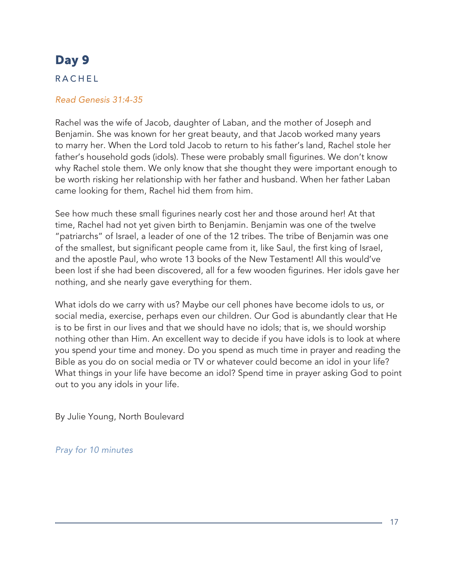### RACHEL

#### *Read Genesis 31:4-35*

Rachel was the wife of Jacob, daughter of Laban, and the mother of Joseph and Benjamin. She was known for her great beauty, and that Jacob worked many years to marry her. When the Lord told Jacob to return to his father's land, Rachel stole her father's household gods (idols). These were probably small figurines. We don't know why Rachel stole them. We only know that she thought they were important enough to be worth risking her relationship with her father and husband. When her father Laban came looking for them, Rachel hid them from him.

See how much these small figurines nearly cost her and those around her! At that time, Rachel had not yet given birth to Benjamin. Benjamin was one of the twelve "patriarchs" of Israel, a leader of one of the 12 tribes. The tribe of Benjamin was one of the smallest, but significant people came from it, like Saul, the first king of Israel, and the apostle Paul, who wrote 13 books of the New Testament! All this would've been lost if she had been discovered, all for a few wooden figurines. Her idols gave her nothing, and she nearly gave everything for them.

What idols do we carry with us? Maybe our cell phones have become idols to us, or social media, exercise, perhaps even our children. Our God is abundantly clear that He is to be first in our lives and that we should have no idols; that is, we should worship nothing other than Him. An excellent way to decide if you have idols is to look at where you spend your time and money. Do you spend as much time in prayer and reading the Bible as you do on social media or TV or whatever could become an idol in your life? What things in your life have become an idol? Spend time in prayer asking God to point out to you any idols in your life.

By Julie Young, North Boulevard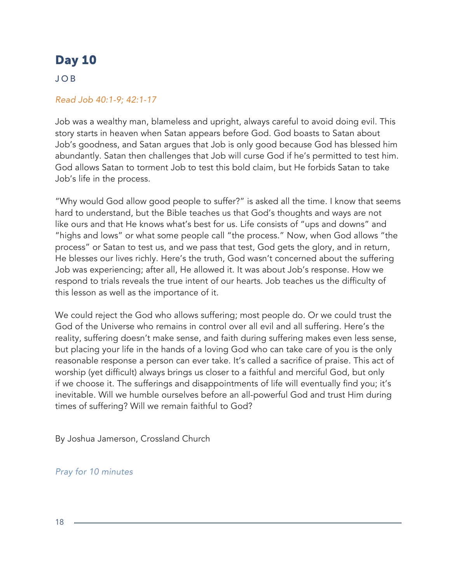### JOB

#### *Read Job 40:1-9; 42:1-17*

Job was a wealthy man, blameless and upright, always careful to avoid doing evil. This story starts in heaven when Satan appears before God. God boasts to Satan about Job's goodness, and Satan argues that Job is only good because God has blessed him abundantly. Satan then challenges that Job will curse God if he's permitted to test him. God allows Satan to torment Job to test this bold claim, but He forbids Satan to take Job's life in the process.

"Why would God allow good people to suffer?" is asked all the time. I know that seems hard to understand, but the Bible teaches us that God's thoughts and ways are not like ours and that He knows what's best for us. Life consists of "ups and downs" and "highs and lows" or what some people call "the process." Now, when God allows "the process" or Satan to test us, and we pass that test, God gets the glory, and in return, He blesses our lives richly. Here's the truth, God wasn't concerned about the suffering Job was experiencing; after all, He allowed it. It was about Job's response. How we respond to trials reveals the true intent of our hearts. Job teaches us the difficulty of this lesson as well as the importance of it.

We could reject the God who allows suffering; most people do. Or we could trust the God of the Universe who remains in control over all evil and all suffering. Here's the reality, suffering doesn't make sense, and faith during suffering makes even less sense, but placing your life in the hands of a loving God who can take care of you is the only reasonable response a person can ever take. It's called a sacrifice of praise. This act of worship (yet difficult) always brings us closer to a faithful and merciful God, but only if we choose it. The sufferings and disappointments of life will eventually find you; it's inevitable. Will we humble ourselves before an all-powerful God and trust Him during times of suffering? Will we remain faithful to God?

By Joshua Jamerson, Crossland Church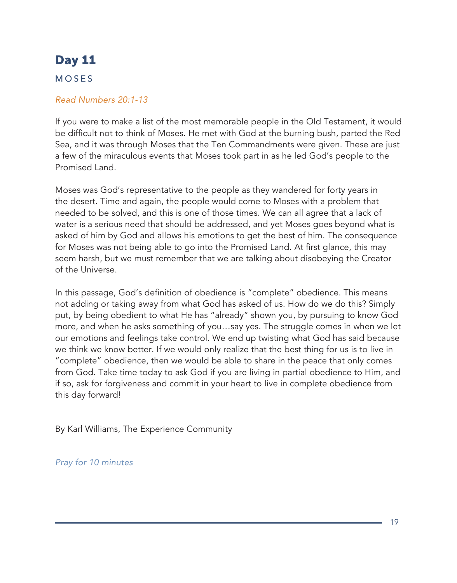### MOSES

#### *Read Numbers 20:1-13*

If you were to make a list of the most memorable people in the Old Testament, it would be difficult not to think of Moses. He met with God at the burning bush, parted the Red Sea, and it was through Moses that the Ten Commandments were given. These are just a few of the miraculous events that Moses took part in as he led God's people to the Promised Land.

Moses was God's representative to the people as they wandered for forty years in the desert. Time and again, the people would come to Moses with a problem that needed to be solved, and this is one of those times. We can all agree that a lack of water is a serious need that should be addressed, and yet Moses goes beyond what is asked of him by God and allows his emotions to get the best of him. The consequence for Moses was not being able to go into the Promised Land. At first glance, this may seem harsh, but we must remember that we are talking about disobeying the Creator of the Universe.

In this passage, God's definition of obedience is "complete" obedience. This means not adding or taking away from what God has asked of us. How do we do this? Simply put, by being obedient to what He has "already" shown you, by pursuing to know God more, and when he asks something of you…say yes. The struggle comes in when we let our emotions and feelings take control. We end up twisting what God has said because we think we know better. If we would only realize that the best thing for us is to live in "complete" obedience, then we would be able to share in the peace that only comes from God. Take time today to ask God if you are living in partial obedience to Him, and if so, ask for forgiveness and commit in your heart to live in complete obedience from this day forward!

By Karl Williams, The Experience Community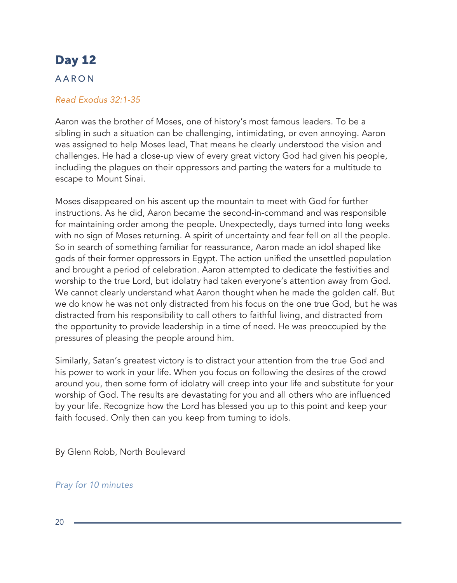### AARON

#### *Read Exodus 32:1-35*

Aaron was the brother of Moses, one of history's most famous leaders. To be a sibling in such a situation can be challenging, intimidating, or even annoying. Aaron was assigned to help Moses lead, That means he clearly understood the vision and challenges. He had a close-up view of every great victory God had given his people, including the plagues on their oppressors and parting the waters for a multitude to escape to Mount Sinai.

Moses disappeared on his ascent up the mountain to meet with God for further instructions. As he did, Aaron became the second-in-command and was responsible for maintaining order among the people. Unexpectedly, days turned into long weeks with no sign of Moses returning. A spirit of uncertainty and fear fell on all the people. So in search of something familiar for reassurance, Aaron made an idol shaped like gods of their former oppressors in Egypt. The action unified the unsettled population and brought a period of celebration. Aaron attempted to dedicate the festivities and worship to the true Lord, but idolatry had taken everyone's attention away from God. We cannot clearly understand what Aaron thought when he made the golden calf. But we do know he was not only distracted from his focus on the one true God, but he was distracted from his responsibility to call others to faithful living, and distracted from the opportunity to provide leadership in a time of need. He was preoccupied by the pressures of pleasing the people around him.

Similarly, Satan's greatest victory is to distract your attention from the true God and his power to work in your life. When you focus on following the desires of the crowd around you, then some form of idolatry will creep into your life and substitute for your worship of God. The results are devastating for you and all others who are influenced by your life. Recognize how the Lord has blessed you up to this point and keep your faith focused. Only then can you keep from turning to idols.

By Glenn Robb, North Boulevard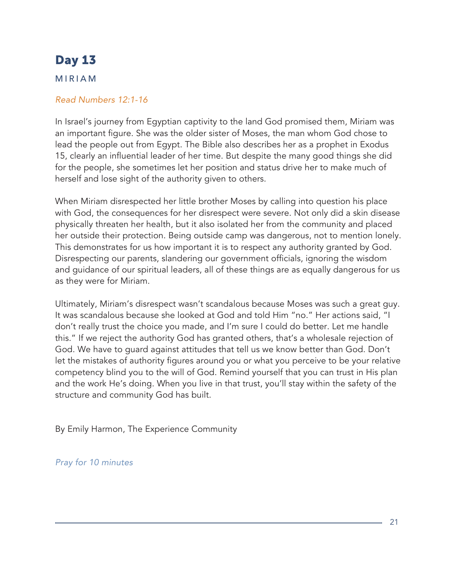#### MIRIAM

#### *Read Numbers 12:1-16*

In Israel's journey from Egyptian captivity to the land God promised them, Miriam was an important figure. She was the older sister of Moses, the man whom God chose to lead the people out from Egypt. The Bible also describes her as a prophet in Exodus 15, clearly an influential leader of her time. But despite the many good things she did for the people, she sometimes let her position and status drive her to make much of herself and lose sight of the authority given to others.

When Miriam disrespected her little brother Moses by calling into question his place with God, the consequences for her disrespect were severe. Not only did a skin disease physically threaten her health, but it also isolated her from the community and placed her outside their protection. Being outside camp was dangerous, not to mention lonely. This demonstrates for us how important it is to respect any authority granted by God. Disrespecting our parents, slandering our government officials, ignoring the wisdom and guidance of our spiritual leaders, all of these things are as equally dangerous for us as they were for Miriam.

Ultimately, Miriam's disrespect wasn't scandalous because Moses was such a great guy. It was scandalous because she looked at God and told Him "no." Her actions said, "I don't really trust the choice you made, and I'm sure I could do better. Let me handle this." If we reject the authority God has granted others, that's a wholesale rejection of God. We have to guard against attitudes that tell us we know better than God. Don't let the mistakes of authority figures around you or what you perceive to be your relative competency blind you to the will of God. Remind yourself that you can trust in His plan and the work He's doing. When you live in that trust, you'll stay within the safety of the structure and community God has built.

By Emily Harmon, The Experience Community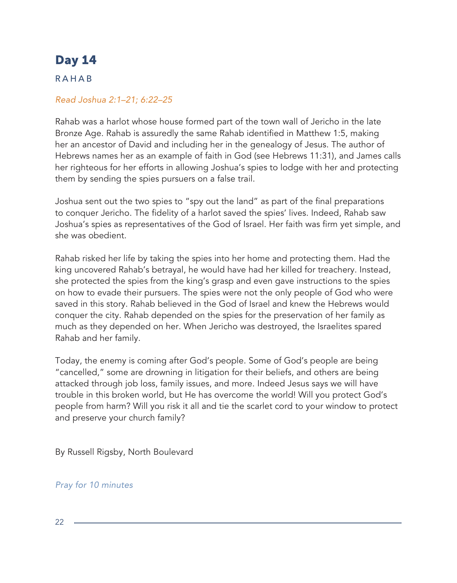### RAHAB

### *Read Joshua 2:1–21; 6:22–25*

Rahab was a harlot whose house formed part of the town wall of Jericho in the late Bronze Age. Rahab is assuredly the same Rahab identified in Matthew 1:5, making her an ancestor of David and including her in the genealogy of Jesus. The author of Hebrews names her as an example of faith in God (see Hebrews 11:31), and James calls her righteous for her efforts in allowing Joshua's spies to lodge with her and protecting them by sending the spies pursuers on a false trail.

Joshua sent out the two spies to "spy out the land" as part of the final preparations to conquer Jericho. The fidelity of a harlot saved the spies' lives. Indeed, Rahab saw Joshua's spies as representatives of the God of Israel. Her faith was firm yet simple, and she was obedient.

Rahab risked her life by taking the spies into her home and protecting them. Had the king uncovered Rahab's betrayal, he would have had her killed for treachery. Instead, she protected the spies from the king's grasp and even gave instructions to the spies on how to evade their pursuers. The spies were not the only people of God who were saved in this story. Rahab believed in the God of Israel and knew the Hebrews would conquer the city. Rahab depended on the spies for the preservation of her family as much as they depended on her. When Jericho was destroyed, the Israelites spared Rahab and her family.

Today, the enemy is coming after God's people. Some of God's people are being "cancelled," some are drowning in litigation for their beliefs, and others are being attacked through job loss, family issues, and more. Indeed Jesus says we will have trouble in this broken world, but He has overcome the world! Will you protect God's people from harm? Will you risk it all and tie the scarlet cord to your window to protect and preserve your church family?

By Russell Rigsby, North Boulevard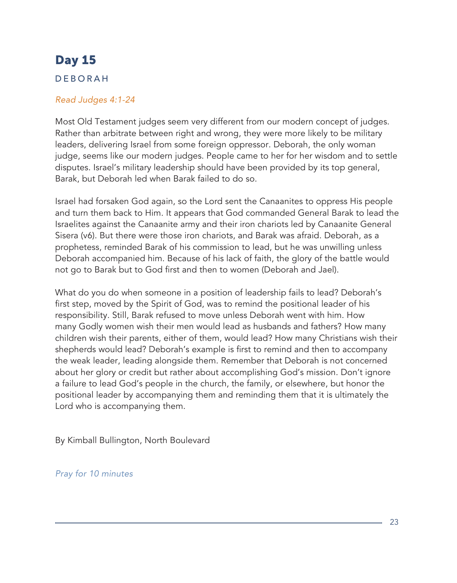### DEBORAH

#### *Read Judges 4:1-24*

Most Old Testament judges seem very different from our modern concept of judges. Rather than arbitrate between right and wrong, they were more likely to be military leaders, delivering Israel from some foreign oppressor. Deborah, the only woman judge, seems like our modern judges. People came to her for her wisdom and to settle disputes. Israel's military leadership should have been provided by its top general, Barak, but Deborah led when Barak failed to do so.

Israel had forsaken God again, so the Lord sent the Canaanites to oppress His people and turn them back to Him. It appears that God commanded General Barak to lead the Israelites against the Canaanite army and their iron chariots led by Canaanite General Sisera (v6). But there were those iron chariots, and Barak was afraid. Deborah, as a prophetess, reminded Barak of his commission to lead, but he was unwilling unless Deborah accompanied him. Because of his lack of faith, the glory of the battle would not go to Barak but to God first and then to women (Deborah and Jael).

What do you do when someone in a position of leadership fails to lead? Deborah's first step, moved by the Spirit of God, was to remind the positional leader of his responsibility. Still, Barak refused to move unless Deborah went with him. How many Godly women wish their men would lead as husbands and fathers? How many children wish their parents, either of them, would lead? How many Christians wish their shepherds would lead? Deborah's example is first to remind and then to accompany the weak leader, leading alongside them. Remember that Deborah is not concerned about her glory or credit but rather about accomplishing God's mission. Don't ignore a failure to lead God's people in the church, the family, or elsewhere, but honor the positional leader by accompanying them and reminding them that it is ultimately the Lord who is accompanying them.

By Kimball Bullington, North Boulevard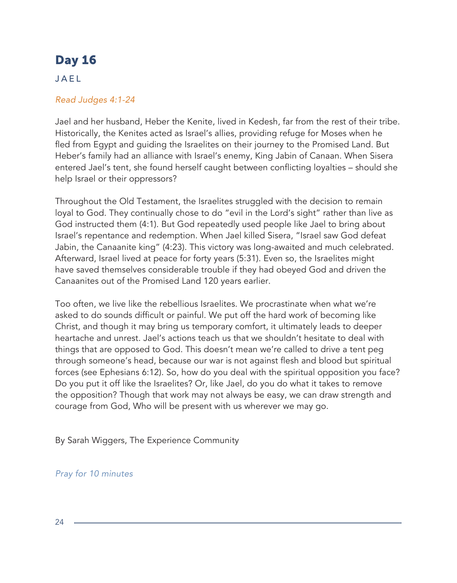### JAEL

### *Read Judges 4:1-24*

Jael and her husband, Heber the Kenite, lived in Kedesh, far from the rest of their tribe. Historically, the Kenites acted as Israel's allies, providing refuge for Moses when he fled from Egypt and guiding the Israelites on their journey to the Promised Land. But Heber's family had an alliance with Israel's enemy, King Jabin of Canaan. When Sisera entered Jael's tent, she found herself caught between conflicting loyalties – should she help Israel or their oppressors?

Throughout the Old Testament, the Israelites struggled with the decision to remain loyal to God. They continually chose to do "evil in the Lord's sight" rather than live as God instructed them (4:1). But God repeatedly used people like Jael to bring about Israel's repentance and redemption. When Jael killed Sisera, "Israel saw God defeat Jabin, the Canaanite king" (4:23). This victory was long-awaited and much celebrated. Afterward, Israel lived at peace for forty years (5:31). Even so, the Israelites might have saved themselves considerable trouble if they had obeyed God and driven the Canaanites out of the Promised Land 120 years earlier.

Too often, we live like the rebellious Israelites. We procrastinate when what we're asked to do sounds difficult or painful. We put off the hard work of becoming like Christ, and though it may bring us temporary comfort, it ultimately leads to deeper heartache and unrest. Jael's actions teach us that we shouldn't hesitate to deal with things that are opposed to God. This doesn't mean we're called to drive a tent peg through someone's head, because our war is not against flesh and blood but spiritual forces (see Ephesians 6:12). So, how do you deal with the spiritual opposition you face? Do you put it off like the Israelites? Or, like Jael, do you do what it takes to remove the opposition? Though that work may not always be easy, we can draw strength and courage from God, Who will be present with us wherever we may go.

By Sarah Wiggers, The Experience Community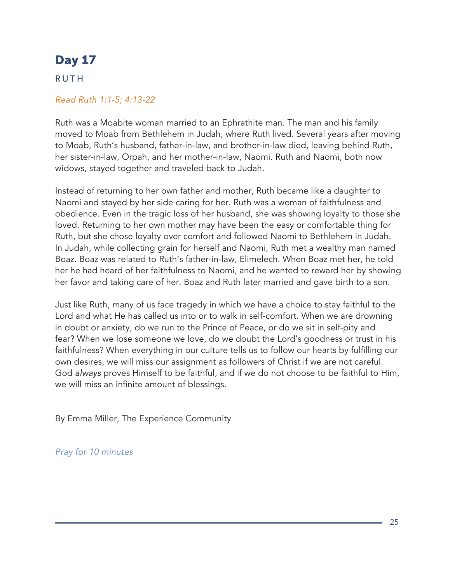### RUTH

#### *Read Ruth 1:1-5; 4:13-22*

Ruth was a Moabite woman married to an Ephrathite man. The man and his family moved to Moab from Bethlehem in Judah, where Ruth lived. Several years after moving to Moab, Ruth's husband, father-in-law, and brother-in-law died, leaving behind Ruth, her sister-in-law, Orpah, and her mother-in-law, Naomi. Ruth and Naomi, both now widows, stayed together and traveled back to Judah.

Instead of returning to her own father and mother, Ruth became like a daughter to Naomi and stayed by her side caring for her. Ruth was a woman of faithfulness and obedience. Even in the tragic loss of her husband, she was showing loyalty to those she loved. Returning to her own mother may have been the easy or comfortable thing for Ruth, but she chose loyalty over comfort and followed Naomi to Bethlehem in Judah. In Judah, while collecting grain for herself and Naomi, Ruth met a wealthy man named Boaz. Boaz was related to Ruth's father-in-law, Elimelech. When Boaz met her, he told her he had heard of her faithfulness to Naomi, and he wanted to reward her by showing her favor and taking care of her. Boaz and Ruth later married and gave birth to a son.

Just like Ruth, many of us face tragedy in which we have a choice to stay faithful to the Lord and what He has called us into or to walk in self-comfort. When we are drowning in doubt or anxiety, do we run to the Prince of Peace, or do we sit in self-pity and fear? When we lose someone we love, do we doubt the Lord's goodness or trust in his faithfulness? When everything in our culture tells us to follow our hearts by fulfilling our own desires, we will miss our assignment as followers of Christ if we are not careful. God *always* proves Himself to be faithful, and if we do not choose to be faithful to Him, we will miss an infinite amount of blessings.

By Emma Miller, The Experience Community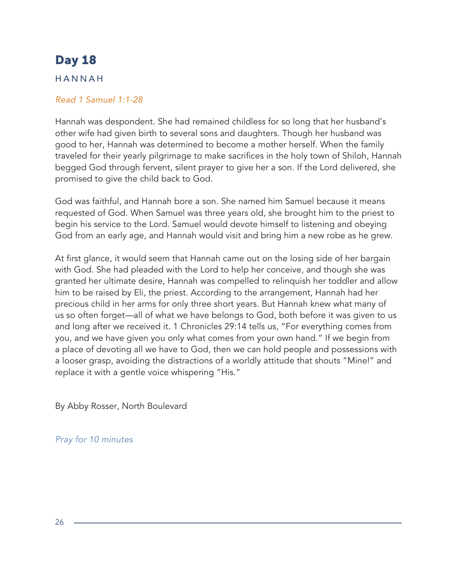### HANNAH

#### *Read 1 Samuel 1:1-28*

Hannah was despondent. She had remained childless for so long that her husband's other wife had given birth to several sons and daughters. Though her husband was good to her, Hannah was determined to become a mother herself. When the family traveled for their yearly pilgrimage to make sacrifices in the holy town of Shiloh, Hannah begged God through fervent, silent prayer to give her a son. If the Lord delivered, she promised to give the child back to God.

God was faithful, and Hannah bore a son. She named him Samuel because it means requested of God. When Samuel was three years old, she brought him to the priest to begin his service to the Lord. Samuel would devote himself to listening and obeying God from an early age, and Hannah would visit and bring him a new robe as he grew.

At first glance, it would seem that Hannah came out on the losing side of her bargain with God. She had pleaded with the Lord to help her conceive, and though she was granted her ultimate desire, Hannah was compelled to relinquish her toddler and allow him to be raised by Eli, the priest. According to the arrangement, Hannah had her precious child in her arms for only three short years. But Hannah knew what many of us so often forget—all of what we have belongs to God, both before it was given to us and long after we received it. 1 Chronicles 29:14 tells us, "For everything comes from you, and we have given you only what comes from your own hand." If we begin from a place of devoting all we have to God, then we can hold people and possessions with a looser grasp, avoiding the distractions of a worldly attitude that shouts "Mine!" and replace it with a gentle voice whispering "His."

By Abby Rosser, North Boulevard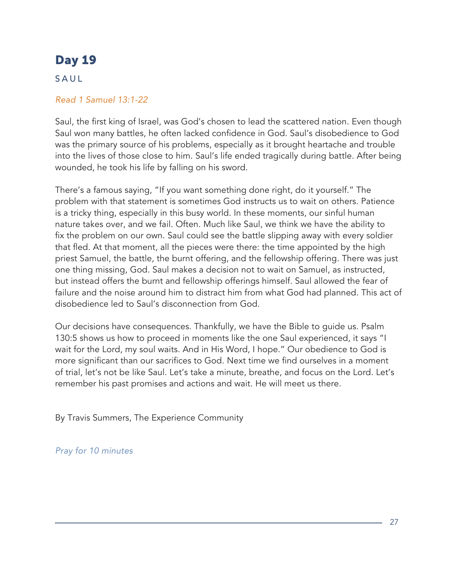### SAUL

### *Read 1 Samuel 13:1-22*

Saul, the first king of Israel, was God's chosen to lead the scattered nation. Even though Saul won many battles, he often lacked confidence in God. Saul's disobedience to God was the primary source of his problems, especially as it brought heartache and trouble into the lives of those close to him. Saul's life ended tragically during battle. After being wounded, he took his life by falling on his sword.

There's a famous saying, "If you want something done right, do it yourself." The problem with that statement is sometimes God instructs us to wait on others. Patience is a tricky thing, especially in this busy world. In these moments, our sinful human nature takes over, and we fail. Often. Much like Saul, we think we have the ability to fix the problem on our own. Saul could see the battle slipping away with every soldier that fled. At that moment, all the pieces were there: the time appointed by the high priest Samuel, the battle, the burnt offering, and the fellowship offering. There was just one thing missing, God. Saul makes a decision not to wait on Samuel, as instructed, but instead offers the burnt and fellowship offerings himself. Saul allowed the fear of failure and the noise around him to distract him from what God had planned. This act of disobedience led to Saul's disconnection from God.

Our decisions have consequences. Thankfully, we have the Bible to guide us. Psalm 130:5 shows us how to proceed in moments like the one Saul experienced, it says "I wait for the Lord, my soul waits. And in His Word, I hope." Our obedience to God is more significant than our sacrifices to God. Next time we find ourselves in a moment of trial, let's not be like Saul. Let's take a minute, breathe, and focus on the Lord. Let's remember his past promises and actions and wait. He will meet us there.

By Travis Summers, The Experience Community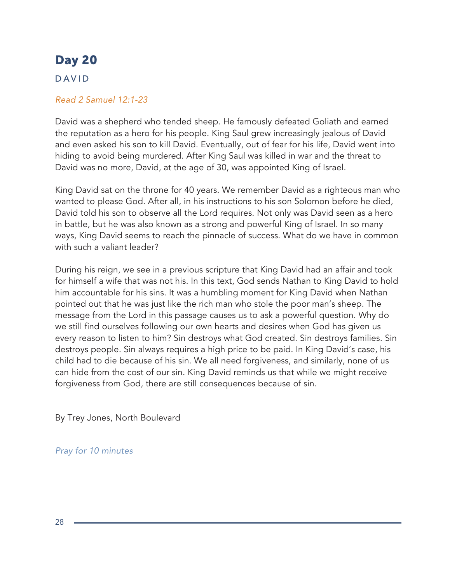### DAVID

#### *Read 2 Samuel 12:1-23*

David was a shepherd who tended sheep. He famously defeated Goliath and earned the reputation as a hero for his people. King Saul grew increasingly jealous of David and even asked his son to kill David. Eventually, out of fear for his life, David went into hiding to avoid being murdered. After King Saul was killed in war and the threat to David was no more, David, at the age of 30, was appointed King of Israel.

King David sat on the throne for 40 years. We remember David as a righteous man who wanted to please God. After all, in his instructions to his son Solomon before he died, David told his son to observe all the Lord requires. Not only was David seen as a hero in battle, but he was also known as a strong and powerful King of Israel. In so many ways, King David seems to reach the pinnacle of success. What do we have in common with such a valiant leader?

During his reign, we see in a previous scripture that King David had an affair and took for himself a wife that was not his. In this text, God sends Nathan to King David to hold him accountable for his sins. It was a humbling moment for King David when Nathan pointed out that he was just like the rich man who stole the poor man's sheep. The message from the Lord in this passage causes us to ask a powerful question. Why do we still find ourselves following our own hearts and desires when God has given us every reason to listen to him? Sin destroys what God created. Sin destroys families. Sin destroys people. Sin always requires a high price to be paid. In King David's case, his child had to die because of his sin. We all need forgiveness, and similarly, none of us can hide from the cost of our sin. King David reminds us that while we might receive forgiveness from God, there are still consequences because of sin.

By Trey Jones, North Boulevard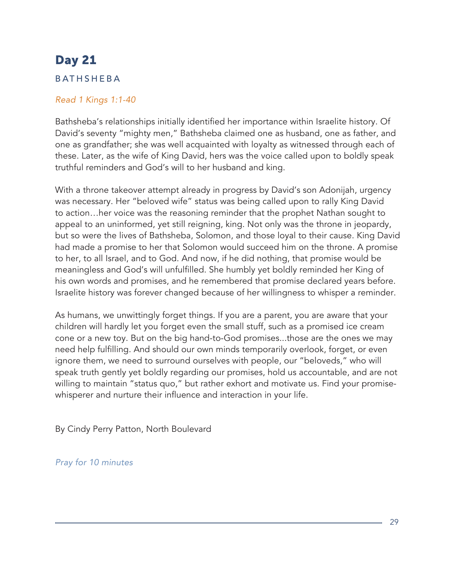### BATHSHEBA

#### *Read 1 Kings 1:1-40*

Bathsheba's relationships initially identified her importance within Israelite history. Of David's seventy "mighty men," Bathsheba claimed one as husband, one as father, and one as grandfather; she was well acquainted with loyalty as witnessed through each of these. Later, as the wife of King David, hers was the voice called upon to boldly speak truthful reminders and God's will to her husband and king.

With a throne takeover attempt already in progress by David's son Adonijah, urgency was necessary. Her "beloved wife" status was being called upon to rally King David to action…her voice was the reasoning reminder that the prophet Nathan sought to appeal to an uninformed, yet still reigning, king. Not only was the throne in jeopardy, but so were the lives of Bathsheba, Solomon, and those loyal to their cause. King David had made a promise to her that Solomon would succeed him on the throne. A promise to her, to all Israel, and to God. And now, if he did nothing, that promise would be meaningless and God's will unfulfilled. She humbly yet boldly reminded her King of his own words and promises, and he remembered that promise declared years before. Israelite history was forever changed because of her willingness to whisper a reminder.

As humans, we unwittingly forget things. If you are a parent, you are aware that your children will hardly let you forget even the small stuff, such as a promised ice cream cone or a new toy. But on the big hand-to-God promises...those are the ones we may need help fulfilling. And should our own minds temporarily overlook, forget, or even ignore them, we need to surround ourselves with people, our "beloveds," who will speak truth gently yet boldly regarding our promises, hold us accountable, and are not willing to maintain "status quo," but rather exhort and motivate us. Find your promisewhisperer and nurture their influence and interaction in your life.

By Cindy Perry Patton, North Boulevard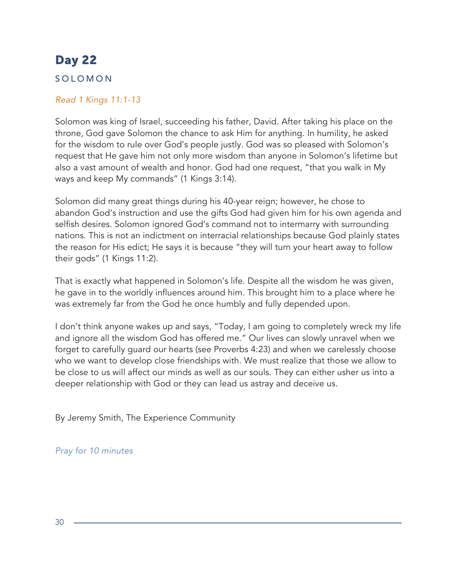### SOLOMON

### *Read 1 Kings 11:1-13*

Solomon was king of Israel, succeeding his father, David. After taking his place on the throne, God gave Solomon the chance to ask Him for anything. In humility, he asked for the wisdom to rule over God's people justly. God was so pleased with Solomon's request that He gave him not only more wisdom than anyone in Solomon's lifetime but also a vast amount of wealth and honor. God had one request, "that you walk in My ways and keep My commands" (1 Kings 3:14).

Solomon did many great things during his 40-year reign; however, he chose to abandon God's instruction and use the gifts God had given him for his own agenda and selfish desires. Solomon ignored God's command not to intermarry with surrounding nations. This is not an indictment on interracial relationships because God plainly states the reason for His edict; He says it is because "they will turn your heart away to follow their gods" (1 Kings 11:2).

That is exactly what happened in Solomon's life. Despite all the wisdom he was given, he gave in to the worldly influences around him. This brought him to a place where he was extremely far from the God he once humbly and fully depended upon.

I don't think anyone wakes up and says, "Today, I am going to completely wreck my life and ignore all the wisdom God has offered me." Our lives can slowly unravel when we forget to carefully guard our hearts (see Proverbs 4:23) and when we carelessly choose who we want to develop close friendships with. We must realize that those we allow to be close to us will affect our minds as well as our souls. They can either usher us into a deeper relationship with God or they can lead us astray and deceive us.

By Jeremy Smith, The Experience Community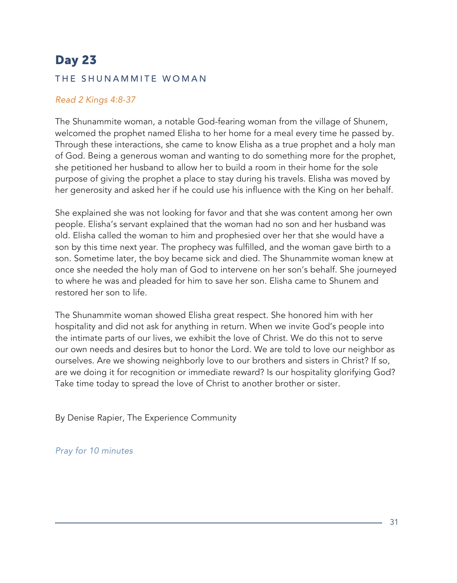#### THE SHUNAMMITE WOMAN

#### *Read 2 Kings 4:8-37*

The Shunammite woman, a notable God-fearing woman from the village of Shunem, welcomed the prophet named Elisha to her home for a meal every time he passed by. Through these interactions, she came to know Elisha as a true prophet and a holy man of God. Being a generous woman and wanting to do something more for the prophet, she petitioned her husband to allow her to build a room in their home for the sole purpose of giving the prophet a place to stay during his travels. Elisha was moved by her generosity and asked her if he could use his influence with the King on her behalf.

She explained she was not looking for favor and that she was content among her own people. Elisha's servant explained that the woman had no son and her husband was old. Elisha called the woman to him and prophesied over her that she would have a son by this time next year. The prophecy was fulfilled, and the woman gave birth to a son. Sometime later, the boy became sick and died. The Shunammite woman knew at once she needed the holy man of God to intervene on her son's behalf. She journeyed to where he was and pleaded for him to save her son. Elisha came to Shunem and restored her son to life.

The Shunammite woman showed Elisha great respect. She honored him with her hospitality and did not ask for anything in return. When we invite God's people into the intimate parts of our lives, we exhibit the love of Christ. We do this not to serve our own needs and desires but to honor the Lord. We are told to love our neighbor as ourselves. Are we showing neighborly love to our brothers and sisters in Christ? If so, are we doing it for recognition or immediate reward? Is our hospitality glorifying God? Take time today to spread the love of Christ to another brother or sister.

By Denise Rapier, The Experience Community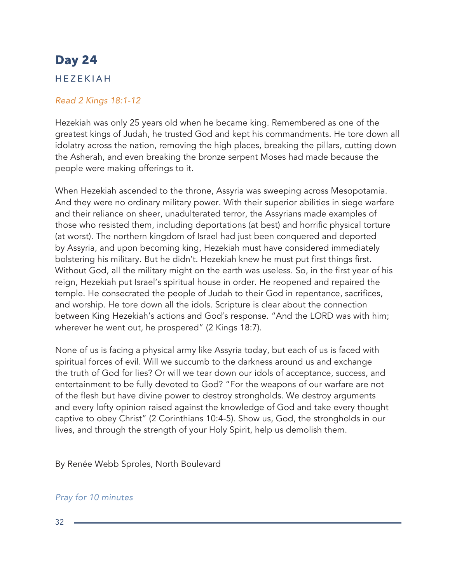### HEZEKIAH

### *Read 2 Kings 18:1-12*

Hezekiah was only 25 years old when he became king. Remembered as one of the greatest kings of Judah, he trusted God and kept his commandments. He tore down all idolatry across the nation, removing the high places, breaking the pillars, cutting down the Asherah, and even breaking the bronze serpent Moses had made because the people were making offerings to it.

When Hezekiah ascended to the throne, Assyria was sweeping across Mesopotamia. And they were no ordinary military power. With their superior abilities in siege warfare and their reliance on sheer, unadulterated terror, the Assyrians made examples of those who resisted them, including deportations (at best) and horrific physical torture (at worst). The northern kingdom of Israel had just been conquered and deported by Assyria, and upon becoming king, Hezekiah must have considered immediately bolstering his military. But he didn't. Hezekiah knew he must put first things first. Without God, all the military might on the earth was useless. So, in the first year of his reign, Hezekiah put Israel's spiritual house in order. He reopened and repaired the temple. He consecrated the people of Judah to their God in repentance, sacrifices, and worship. He tore down all the idols. Scripture is clear about the connection between King Hezekiah's actions and God's response. "And the LORD was with him; wherever he went out, he prospered" (2 Kings 18:7).

None of us is facing a physical army like Assyria today, but each of us is faced with spiritual forces of evil. Will we succumb to the darkness around us and exchange the truth of God for lies? Or will we tear down our idols of acceptance, success, and entertainment to be fully devoted to God? "For the weapons of our warfare are not of the flesh but have divine power to destroy strongholds. We destroy arguments and every lofty opinion raised against the knowledge of God and take every thought captive to obey Christ" (2 Corinthians 10:4-5). Show us, God, the strongholds in our lives, and through the strength of your Holy Spirit, help us demolish them.

By Renée Webb Sproles, North Boulevard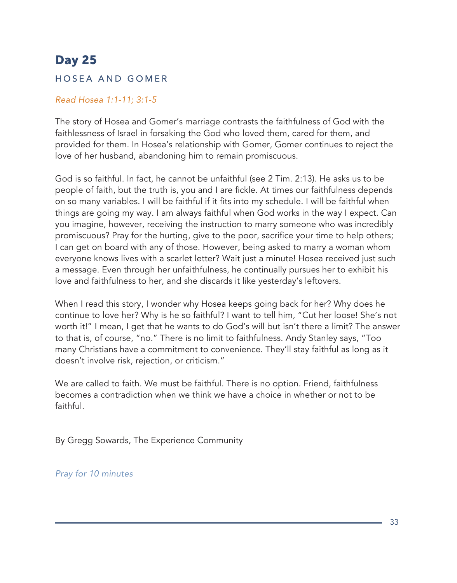### HOSEA AND GOMER

#### *Read Hosea 1:1-11; 3:1-5*

The story of Hosea and Gomer's marriage contrasts the faithfulness of God with the faithlessness of Israel in forsaking the God who loved them, cared for them, and provided for them. In Hosea's relationship with Gomer, Gomer continues to reject the love of her husband, abandoning him to remain promiscuous.

God is so faithful. In fact, he cannot be unfaithful (see 2 Tim. 2:13). He asks us to be people of faith, but the truth is, you and I are fickle. At times our faithfulness depends on so many variables. I will be faithful if it fits into my schedule. I will be faithful when things are going my way. I am always faithful when God works in the way I expect. Can you imagine, however, receiving the instruction to marry someone who was incredibly promiscuous? Pray for the hurting, give to the poor, sacrifice your time to help others; I can get on board with any of those. However, being asked to marry a woman whom everyone knows lives with a scarlet letter? Wait just a minute! Hosea received just such a message. Even through her unfaithfulness, he continually pursues her to exhibit his love and faithfulness to her, and she discards it like yesterday's leftovers.

When I read this story, I wonder why Hosea keeps going back for her? Why does he continue to love her? Why is he so faithful? I want to tell him, "Cut her loose! She's not worth it!" I mean, I get that he wants to do God's will but isn't there a limit? The answer to that is, of course, "no." There is no limit to faithfulness. Andy Stanley says, "Too many Christians have a commitment to convenience. They'll stay faithful as long as it doesn't involve risk, rejection, or criticism."

We are called to faith. We must be faithful. There is no option. Friend, faithfulness becomes a contradiction when we think we have a choice in whether or not to be faithful.

By Gregg Sowards, The Experience Community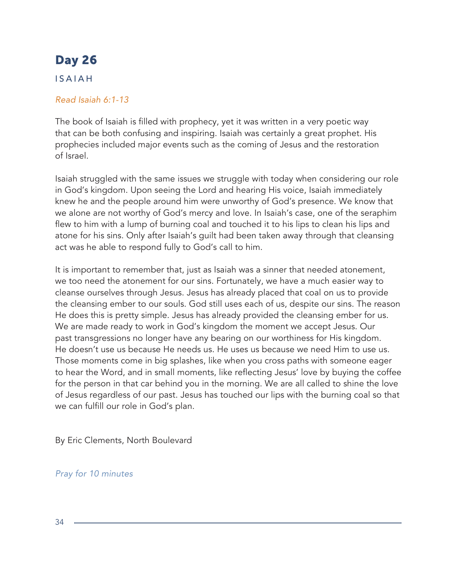### ISAIAH

### *Read Isaiah 6:1-13*

The book of Isaiah is filled with prophecy, yet it was written in a very poetic way that can be both confusing and inspiring. Isaiah was certainly a great prophet. His prophecies included major events such as the coming of Jesus and the restoration of Israel.

Isaiah struggled with the same issues we struggle with today when considering our role in God's kingdom. Upon seeing the Lord and hearing His voice, Isaiah immediately knew he and the people around him were unworthy of God's presence. We know that we alone are not worthy of God's mercy and love. In Isaiah's case, one of the seraphim flew to him with a lump of burning coal and touched it to his lips to clean his lips and atone for his sins. Only after Isaiah's guilt had been taken away through that cleansing act was he able to respond fully to God's call to him.

It is important to remember that, just as Isaiah was a sinner that needed atonement, we too need the atonement for our sins. Fortunately, we have a much easier way to cleanse ourselves through Jesus. Jesus has already placed that coal on us to provide the cleansing ember to our souls. God still uses each of us, despite our sins. The reason He does this is pretty simple. Jesus has already provided the cleansing ember for us. We are made ready to work in God's kingdom the moment we accept Jesus. Our past transgressions no longer have any bearing on our worthiness for His kingdom. He doesn't use us because He needs us. He uses us because we need Him to use us. Those moments come in big splashes, like when you cross paths with someone eager to hear the Word, and in small moments, like reflecting Jesus' love by buying the coffee for the person in that car behind you in the morning. We are all called to shine the love of Jesus regardless of our past. Jesus has touched our lips with the burning coal so that we can fulfill our role in God's plan.

By Eric Clements, North Boulevard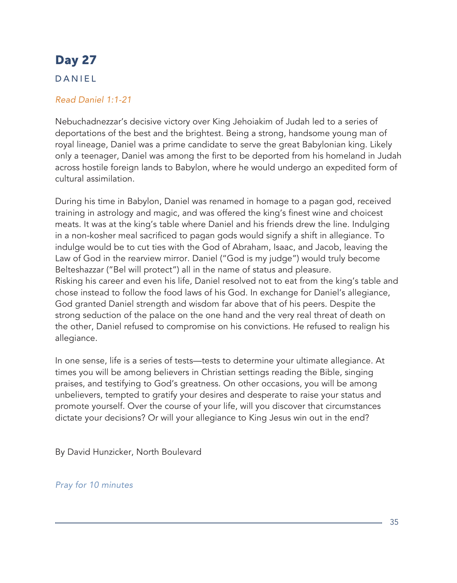### DANIEL

### *Read Daniel 1:1-21*

Nebuchadnezzar's decisive victory over King Jehoiakim of Judah led to a series of deportations of the best and the brightest. Being a strong, handsome young man of royal lineage, Daniel was a prime candidate to serve the great Babylonian king. Likely only a teenager, Daniel was among the first to be deported from his homeland in Judah across hostile foreign lands to Babylon, where he would undergo an expedited form of cultural assimilation.

During his time in Babylon, Daniel was renamed in homage to a pagan god, received training in astrology and magic, and was offered the king's finest wine and choicest meats. It was at the king's table where Daniel and his friends drew the line. Indulging in a non-kosher meal sacrificed to pagan gods would signify a shift in allegiance. To indulge would be to cut ties with the God of Abraham, Isaac, and Jacob, leaving the Law of God in the rearview mirror. Daniel ("God is my judge") would truly become Belteshazzar ("Bel will protect") all in the name of status and pleasure. Risking his career and even his life, Daniel resolved not to eat from the king's table and chose instead to follow the food laws of his God. In exchange for Daniel's allegiance, God granted Daniel strength and wisdom far above that of his peers. Despite the strong seduction of the palace on the one hand and the very real threat of death on the other, Daniel refused to compromise on his convictions. He refused to realign his allegiance.

In one sense, life is a series of tests—tests to determine your ultimate allegiance. At times you will be among believers in Christian settings reading the Bible, singing praises, and testifying to God's greatness. On other occasions, you will be among unbelievers, tempted to gratify your desires and desperate to raise your status and promote yourself. Over the course of your life, will you discover that circumstances dictate your decisions? Or will your allegiance to King Jesus win out in the end?

By David Hunzicker, North Boulevard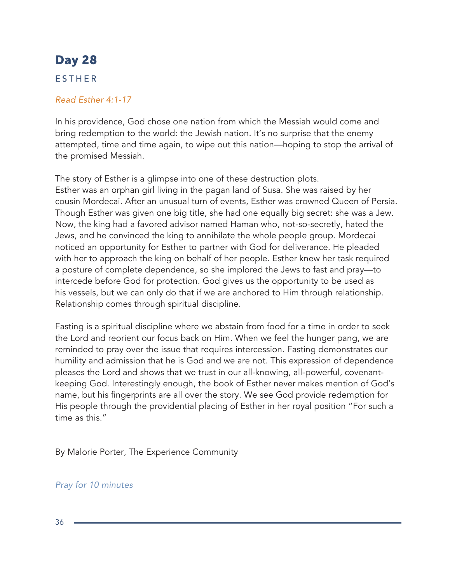### ESTHER

#### *Read Esther 4:1-17*

In his providence, God chose one nation from which the Messiah would come and bring redemption to the world: the Jewish nation. It's no surprise that the enemy attempted, time and time again, to wipe out this nation—hoping to stop the arrival of the promised Messiah.

The story of Esther is a glimpse into one of these destruction plots. Esther was an orphan girl living in the pagan land of Susa. She was raised by her cousin Mordecai. After an unusual turn of events, Esther was crowned Queen of Persia. Though Esther was given one big title, she had one equally big secret: she was a Jew. Now, the king had a favored advisor named Haman who, not-so-secretly, hated the Jews, and he convinced the king to annihilate the whole people group. Mordecai noticed an opportunity for Esther to partner with God for deliverance. He pleaded with her to approach the king on behalf of her people. Esther knew her task required a posture of complete dependence, so she implored the Jews to fast and pray—to intercede before God for protection. God gives us the opportunity to be used as his vessels, but we can only do that if we are anchored to Him through relationship. Relationship comes through spiritual discipline.

Fasting is a spiritual discipline where we abstain from food for a time in order to seek the Lord and reorient our focus back on Him. When we feel the hunger pang, we are reminded to pray over the issue that requires intercession. Fasting demonstrates our humility and admission that he is God and we are not. This expression of dependence pleases the Lord and shows that we trust in our all-knowing, all-powerful, covenantkeeping God. Interestingly enough, the book of Esther never makes mention of God's name, but his fingerprints are all over the story. We see God provide redemption for His people through the providential placing of Esther in her royal position "For such a time as this."

By Malorie Porter, The Experience Community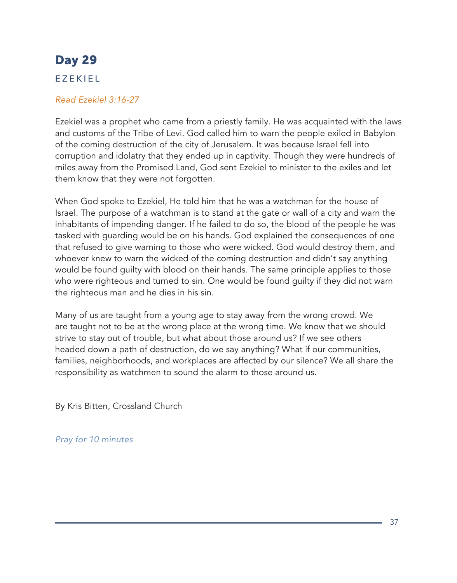### EZEKIEL

#### *Read Ezekiel 3:16-27*

Ezekiel was a prophet who came from a priestly family. He was acquainted with the laws and customs of the Tribe of Levi. God called him to warn the people exiled in Babylon of the coming destruction of the city of Jerusalem. It was because Israel fell into corruption and idolatry that they ended up in captivity. Though they were hundreds of miles away from the Promised Land, God sent Ezekiel to minister to the exiles and let them know that they were not forgotten.

When God spoke to Ezekiel, He told him that he was a watchman for the house of Israel. The purpose of a watchman is to stand at the gate or wall of a city and warn the inhabitants of impending danger. If he failed to do so, the blood of the people he was tasked with guarding would be on his hands. God explained the consequences of one that refused to give warning to those who were wicked. God would destroy them, and whoever knew to warn the wicked of the coming destruction and didn't say anything would be found guilty with blood on their hands. The same principle applies to those who were righteous and turned to sin. One would be found guilty if they did not warn the righteous man and he dies in his sin.

Many of us are taught from a young age to stay away from the wrong crowd. We are taught not to be at the wrong place at the wrong time. We know that we should strive to stay out of trouble, but what about those around us? If we see others headed down a path of destruction, do we say anything? What if our communities, families, neighborhoods, and workplaces are affected by our silence? We all share the responsibility as watchmen to sound the alarm to those around us.

By Kris Bitten, Crossland Church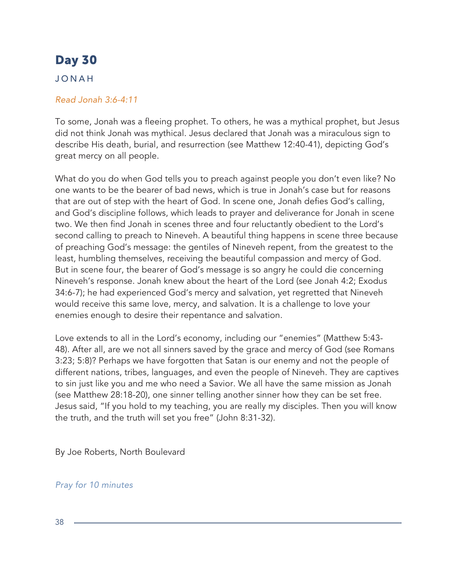### JONAH

#### *Read Jonah 3:6-4:11*

To some, Jonah was a fleeing prophet. To others, he was a mythical prophet, but Jesus did not think Jonah was mythical. Jesus declared that Jonah was a miraculous sign to describe His death, burial, and resurrection (see Matthew 12:40-41), depicting God's great mercy on all people.

What do you do when God tells you to preach against people you don't even like? No one wants to be the bearer of bad news, which is true in Jonah's case but for reasons that are out of step with the heart of God. In scene one, Jonah defies God's calling, and God's discipline follows, which leads to prayer and deliverance for Jonah in scene two. We then find Jonah in scenes three and four reluctantly obedient to the Lord's second calling to preach to Nineveh. A beautiful thing happens in scene three because of preaching God's message: the gentiles of Nineveh repent, from the greatest to the least, humbling themselves, receiving the beautiful compassion and mercy of God. But in scene four, the bearer of God's message is so angry he could die concerning Nineveh's response. Jonah knew about the heart of the Lord (see Jonah 4:2; Exodus 34:6-7); he had experienced God's mercy and salvation, yet regretted that Nineveh would receive this same love, mercy, and salvation. It is a challenge to love your enemies enough to desire their repentance and salvation.

Love extends to all in the Lord's economy, including our "enemies" (Matthew 5:43- 48). After all, are we not all sinners saved by the grace and mercy of God (see Romans 3:23; 5:8)? Perhaps we have forgotten that Satan is our enemy and not the people of different nations, tribes, languages, and even the people of Nineveh. They are captives to sin just like you and me who need a Savior. We all have the same mission as Jonah (see Matthew 28:18-20), one sinner telling another sinner how they can be set free. Jesus said, "If you hold to my teaching, you are really my disciples. Then you will know the truth, and the truth will set you free" (John 8:31-32).

By Joe Roberts, North Boulevard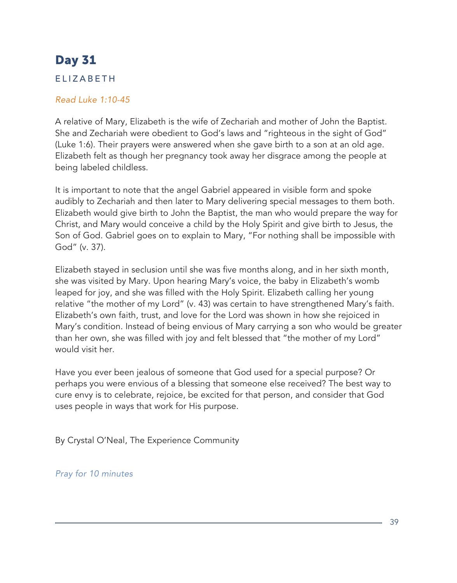### ELIZABETH

#### *Read Luke 1:10-45*

A relative of Mary, Elizabeth is the wife of Zechariah and mother of John the Baptist. She and Zechariah were obedient to God's laws and "righteous in the sight of God" (Luke 1:6). Their prayers were answered when she gave birth to a son at an old age. Elizabeth felt as though her pregnancy took away her disgrace among the people at being labeled childless.

It is important to note that the angel Gabriel appeared in visible form and spoke audibly to Zechariah and then later to Mary delivering special messages to them both. Elizabeth would give birth to John the Baptist, the man who would prepare the way for Christ, and Mary would conceive a child by the Holy Spirit and give birth to Jesus, the Son of God. Gabriel goes on to explain to Mary, "For nothing shall be impossible with God" (v. 37).

Elizabeth stayed in seclusion until she was five months along, and in her sixth month, she was visited by Mary. Upon hearing Mary's voice, the baby in Elizabeth's womb leaped for joy, and she was filled with the Holy Spirit. Elizabeth calling her young relative "the mother of my Lord" (v. 43) was certain to have strengthened Mary's faith. Elizabeth's own faith, trust, and love for the Lord was shown in how she rejoiced in Mary's condition. Instead of being envious of Mary carrying a son who would be greater than her own, she was filled with joy and felt blessed that "the mother of my Lord" would visit her.

Have you ever been jealous of someone that God used for a special purpose? Or perhaps you were envious of a blessing that someone else received? The best way to cure envy is to celebrate, rejoice, be excited for that person, and consider that God uses people in ways that work for His purpose.

By Crystal O'Neal, The Experience Community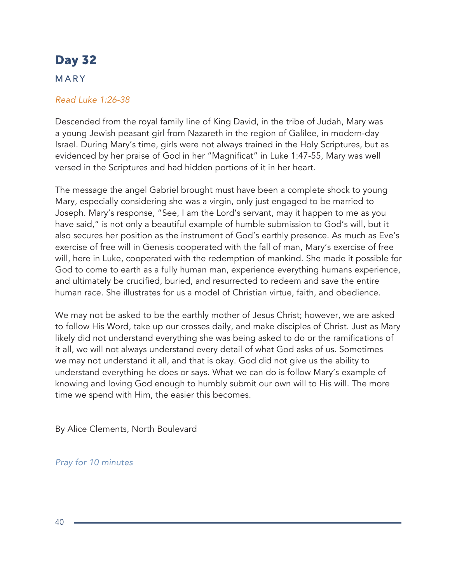### MARY

#### *Read Luke 1:26-38*

Descended from the royal family line of King David, in the tribe of Judah, Mary was a young Jewish peasant girl from Nazareth in the region of Galilee, in modern-day Israel. During Mary's time, girls were not always trained in the Holy Scriptures, but as evidenced by her praise of God in her "Magnificat" in Luke 1:47-55, Mary was well versed in the Scriptures and had hidden portions of it in her heart.

The message the angel Gabriel brought must have been a complete shock to young Mary, especially considering she was a virgin, only just engaged to be married to Joseph. Mary's response, "See, I am the Lord's servant, may it happen to me as you have said," is not only a beautiful example of humble submission to God's will, but it also secures her position as the instrument of God's earthly presence. As much as Eve's exercise of free will in Genesis cooperated with the fall of man, Mary's exercise of free will, here in Luke, cooperated with the redemption of mankind. She made it possible for God to come to earth as a fully human man, experience everything humans experience, and ultimately be crucified, buried, and resurrected to redeem and save the entire human race. She illustrates for us a model of Christian virtue, faith, and obedience.

We may not be asked to be the earthly mother of Jesus Christ; however, we are asked to follow His Word, take up our crosses daily, and make disciples of Christ. Just as Mary likely did not understand everything she was being asked to do or the ramifications of it all, we will not always understand every detail of what God asks of us. Sometimes we may not understand it all, and that is okay. God did not give us the ability to understand everything he does or says. What we can do is follow Mary's example of knowing and loving God enough to humbly submit our own will to His will. The more time we spend with Him, the easier this becomes.

By Alice Clements, North Boulevard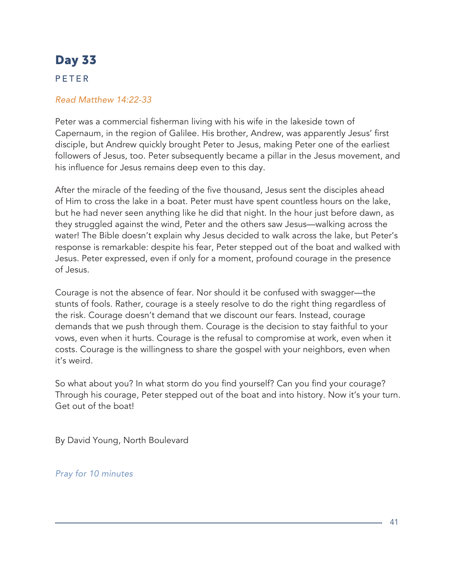### PETER

#### *Read Matthew 14:22-33*

Peter was a commercial fisherman living with his wife in the lakeside town of Capernaum, in the region of Galilee. His brother, Andrew, was apparently Jesus' first disciple, but Andrew quickly brought Peter to Jesus, making Peter one of the earliest followers of Jesus, too. Peter subsequently became a pillar in the Jesus movement, and his influence for Jesus remains deep even to this day.

After the miracle of the feeding of the five thousand, Jesus sent the disciples ahead of Him to cross the lake in a boat. Peter must have spent countless hours on the lake, but he had never seen anything like he did that night. In the hour just before dawn, as they struggled against the wind, Peter and the others saw Jesus—walking across the water! The Bible doesn't explain why Jesus decided to walk across the lake, but Peter's response is remarkable: despite his fear, Peter stepped out of the boat and walked with Jesus. Peter expressed, even if only for a moment, profound courage in the presence of Jesus.

Courage is not the absence of fear. Nor should it be confused with swagger—the stunts of fools. Rather, courage is a steely resolve to do the right thing regardless of the risk. Courage doesn't demand that we discount our fears. Instead, courage demands that we push through them. Courage is the decision to stay faithful to your vows, even when it hurts. Courage is the refusal to compromise at work, even when it costs. Courage is the willingness to share the gospel with your neighbors, even when it's weird.

So what about you? In what storm do you find yourself? Can you find your courage? Through his courage, Peter stepped out of the boat and into history. Now it's your turn. Get out of the boat!

By David Young, North Boulevard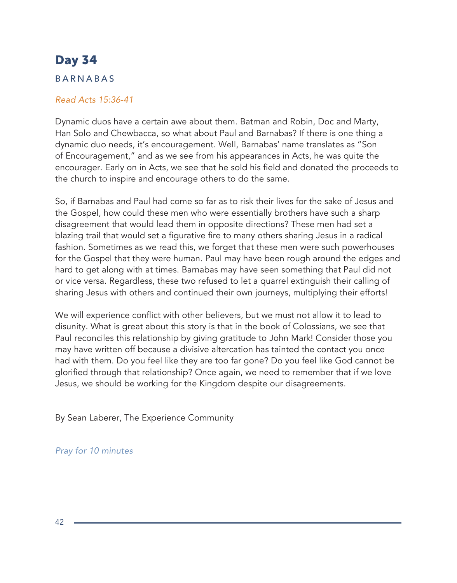### BARNABAS

#### *Read Acts 15:36-41*

Dynamic duos have a certain awe about them. Batman and Robin, Doc and Marty, Han Solo and Chewbacca, so what about Paul and Barnabas? If there is one thing a dynamic duo needs, it's encouragement. Well, Barnabas' name translates as "Son of Encouragement," and as we see from his appearances in Acts, he was quite the encourager. Early on in Acts, we see that he sold his field and donated the proceeds to the church to inspire and encourage others to do the same.

So, if Barnabas and Paul had come so far as to risk their lives for the sake of Jesus and the Gospel, how could these men who were essentially brothers have such a sharp disagreement that would lead them in opposite directions? These men had set a blazing trail that would set a figurative fire to many others sharing Jesus in a radical fashion. Sometimes as we read this, we forget that these men were such powerhouses for the Gospel that they were human. Paul may have been rough around the edges and hard to get along with at times. Barnabas may have seen something that Paul did not or vice versa. Regardless, these two refused to let a quarrel extinguish their calling of sharing Jesus with others and continued their own journeys, multiplying their efforts!

We will experience conflict with other believers, but we must not allow it to lead to disunity. What is great about this story is that in the book of Colossians, we see that Paul reconciles this relationship by giving gratitude to John Mark! Consider those you may have written off because a divisive altercation has tainted the contact you once had with them. Do you feel like they are too far gone? Do you feel like God cannot be glorified through that relationship? Once again, we need to remember that if we love Jesus, we should be working for the Kingdom despite our disagreements.

By Sean Laberer, The Experience Community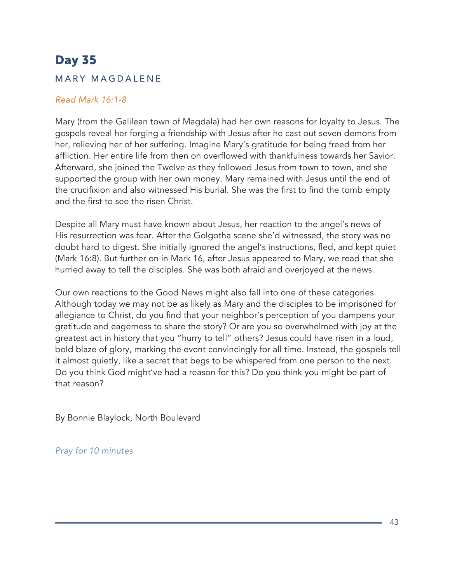### MARY MAGDALENE

#### *Read Mark 16:1-8*

Mary (from the Galilean town of Magdala) had her own reasons for loyalty to Jesus. The gospels reveal her forging a friendship with Jesus after he cast out seven demons from her, relieving her of her suffering. Imagine Mary's gratitude for being freed from her affliction. Her entire life from then on overflowed with thankfulness towards her Savior. Afterward, she joined the Twelve as they followed Jesus from town to town, and she supported the group with her own money. Mary remained with Jesus until the end of the crucifixion and also witnessed His burial. She was the first to find the tomb empty and the first to see the risen Christ.

Despite all Mary must have known about Jesus, her reaction to the angel's news of His resurrection was fear. After the Golgotha scene she'd witnessed, the story was no doubt hard to digest. She initially ignored the angel's instructions, fled, and kept quiet (Mark 16:8). But further on in Mark 16, after Jesus appeared to Mary, we read that she hurried away to tell the disciples. She was both afraid and overjoyed at the news.

Our own reactions to the Good News might also fall into one of these categories. Although today we may not be as likely as Mary and the disciples to be imprisoned for allegiance to Christ, do you find that your neighbor's perception of you dampens your gratitude and eagerness to share the story? Or are you so overwhelmed with joy at the greatest act in history that you "hurry to tell" others? Jesus could have risen in a loud, bold blaze of glory, marking the event convincingly for all time. Instead, the gospels tell it almost quietly, like a secret that begs to be whispered from one person to the next. Do you think God might've had a reason for this? Do you think you might be part of that reason?

By Bonnie Blaylock, North Boulevard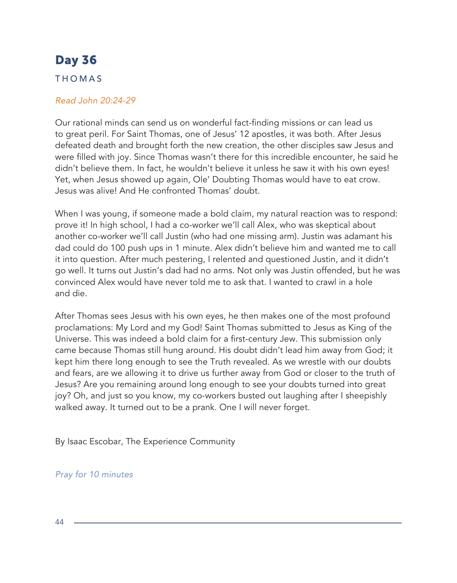### THOMAS

#### *Read John 20:24-29*

Our rational minds can send us on wonderful fact-finding missions or can lead us to great peril. For Saint Thomas, one of Jesus' 12 apostles, it was both. After Jesus defeated death and brought forth the new creation, the other disciples saw Jesus and were filled with joy. Since Thomas wasn't there for this incredible encounter, he said he didn't believe them. In fact, he wouldn't believe it unless he saw it with his own eyes! Yet, when Jesus showed up again, Ole' Doubting Thomas would have to eat crow. Jesus was alive! And He confronted Thomas' doubt.

When I was young, if someone made a bold claim, my natural reaction was to respond: prove it! In high school, I had a co-worker we'll call Alex, who was skeptical about another co-worker we'll call Justin (who had one missing arm). Justin was adamant his dad could do 100 push ups in 1 minute. Alex didn't believe him and wanted me to call it into question. After much pestering, I relented and questioned Justin, and it didn't go well. It turns out Justin's dad had no arms. Not only was Justin offended, but he was convinced Alex would have never told me to ask that. I wanted to crawl in a hole and die.

After Thomas sees Jesus with his own eyes, he then makes one of the most profound proclamations: My Lord and my God! Saint Thomas submitted to Jesus as King of the Universe. This was indeed a bold claim for a first-century Jew. This submission only came because Thomas still hung around. His doubt didn't lead him away from God; it kept him there long enough to see the Truth revealed. As we wrestle with our doubts and fears, are we allowing it to drive us further away from God or closer to the truth of Jesus? Are you remaining around long enough to see your doubts turned into great joy? Oh, and just so you know, my co-workers busted out laughing after I sheepishly walked away. It turned out to be a prank. One I will never forget.

By Isaac Escobar, The Experience Community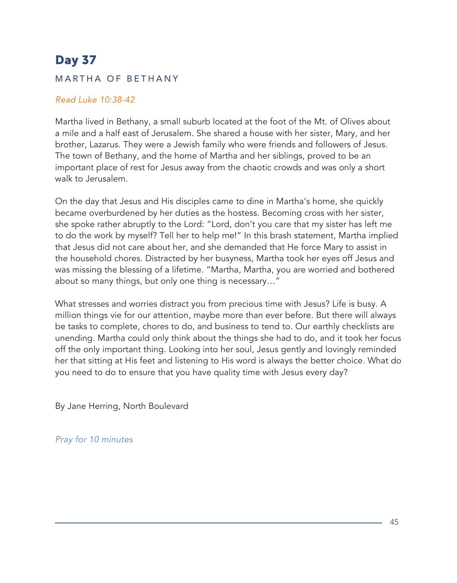### MARTHA OF BETHANY

#### *Read Luke 10:38-42*

Martha lived in Bethany, a small suburb located at the foot of the Mt. of Olives about a mile and a half east of Jerusalem. She shared a house with her sister, Mary, and her brother, Lazarus. They were a Jewish family who were friends and followers of Jesus. The town of Bethany, and the home of Martha and her siblings, proved to be an important place of rest for Jesus away from the chaotic crowds and was only a short walk to Jerusalem.

On the day that Jesus and His disciples came to dine in Martha's home, she quickly became overburdened by her duties as the hostess. Becoming cross with her sister, she spoke rather abruptly to the Lord: "Lord, don't you care that my sister has left me to do the work by myself? Tell her to help me!" In this brash statement, Martha implied that Jesus did not care about her, and she demanded that He force Mary to assist in the household chores. Distracted by her busyness, Martha took her eyes off Jesus and was missing the blessing of a lifetime. "Martha, Martha, you are worried and bothered about so many things, but only one thing is necessary…"

What stresses and worries distract you from precious time with Jesus? Life is busy. A million things vie for our attention, maybe more than ever before. But there will always be tasks to complete, chores to do, and business to tend to. Our earthly checklists are unending. Martha could only think about the things she had to do, and it took her focus off the only important thing. Looking into her soul, Jesus gently and lovingly reminded her that sitting at His feet and listening to His word is always the better choice. What do you need to do to ensure that you have quality time with Jesus every day?

By Jane Herring, North Boulevard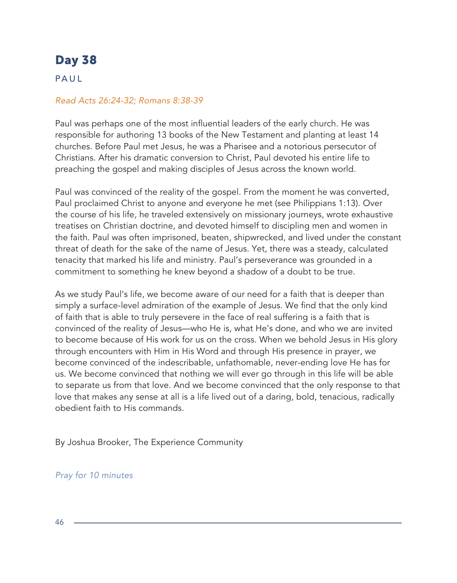### PAUL

#### *Read Acts 26:24-32; Romans 8:38-39*

Paul was perhaps one of the most influential leaders of the early church. He was responsible for authoring 13 books of the New Testament and planting at least 14 churches. Before Paul met Jesus, he was a Pharisee and a notorious persecutor of Christians. After his dramatic conversion to Christ, Paul devoted his entire life to preaching the gospel and making disciples of Jesus across the known world.

Paul was convinced of the reality of the gospel. From the moment he was converted, Paul proclaimed Christ to anyone and everyone he met (see Philippians 1:13). Over the course of his life, he traveled extensively on missionary journeys, wrote exhaustive treatises on Christian doctrine, and devoted himself to discipling men and women in the faith. Paul was often imprisoned, beaten, shipwrecked, and lived under the constant threat of death for the sake of the name of Jesus. Yet, there was a steady, calculated tenacity that marked his life and ministry. Paul's perseverance was grounded in a commitment to something he knew beyond a shadow of a doubt to be true.

As we study Paul's life, we become aware of our need for a faith that is deeper than simply a surface-level admiration of the example of Jesus. We find that the only kind of faith that is able to truly persevere in the face of real suffering is a faith that is convinced of the reality of Jesus—who He is, what He's done, and who we are invited to become because of His work for us on the cross. When we behold Jesus in His glory through encounters with Him in His Word and through His presence in prayer, we become convinced of the indescribable, unfathomable, never-ending love He has for us. We become convinced that nothing we will ever go through in this life will be able to separate us from that love. And we become convinced that the only response to that love that makes any sense at all is a life lived out of a daring, bold, tenacious, radically obedient faith to His commands.

By Joshua Brooker, The Experience Community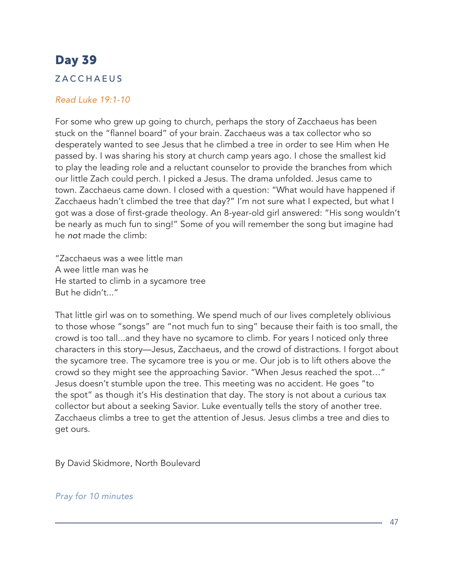### ZACCHAEUS

#### *Read Luke 19:1-10*

For some who grew up going to church, perhaps the story of Zacchaeus has been stuck on the "flannel board" of your brain. Zacchaeus was a tax collector who so desperately wanted to see Jesus that he climbed a tree in order to see Him when He passed by. I was sharing his story at church camp years ago. I chose the smallest kid to play the leading role and a reluctant counselor to provide the branches from which our little Zach could perch. I picked a Jesus. The drama unfolded. Jesus came to town. Zacchaeus came down. I closed with a question: "What would have happened if Zacchaeus hadn't climbed the tree that day?" I'm not sure what I expected, but what I got was a dose of first-grade theology. An 8-year-old girl answered: "His song wouldn't be nearly as much fun to sing!" Some of you will remember the song but imagine had he *not* made the climb:

"Zacchaeus was a wee little man A wee little man was he He started to climb in a sycamore tree But he didn't..."

That little girl was on to something. We spend much of our lives completely oblivious to those whose "songs" are "not much fun to sing" because their faith is too small, the crowd is too tall...and they have no sycamore to climb. For years I noticed only three characters in this story—Jesus, Zacchaeus, and the crowd of distractions. I forgot about the sycamore tree. The sycamore tree is you or me. Our job is to lift others above the crowd so they might see the approaching Savior. "When Jesus reached the spot…" Jesus doesn't stumble upon the tree. This meeting was no accident. He goes "to the spot" as though it's His destination that day. The story is not about a curious tax collector but about a seeking Savior. Luke eventually tells the story of another tree. Zacchaeus climbs a tree to get the attention of Jesus. Jesus climbs a tree and dies to get ours.

By David Skidmore, North Boulevard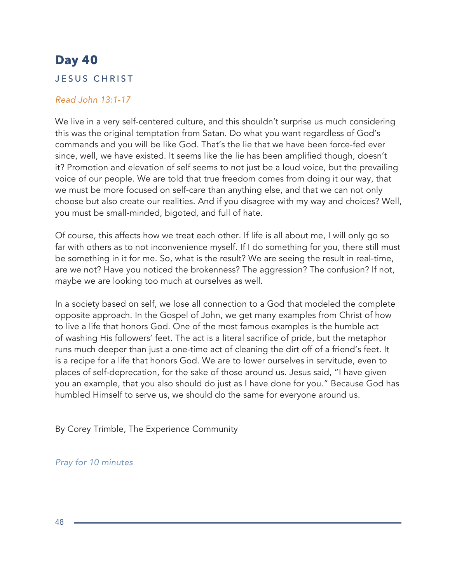### JESUS CHRIST

#### *Read John 13:1-17*

We live in a very self-centered culture, and this shouldn't surprise us much considering this was the original temptation from Satan. Do what you want regardless of God's commands and you will be like God. That's the lie that we have been force-fed ever since, well, we have existed. It seems like the lie has been amplified though, doesn't it? Promotion and elevation of self seems to not just be a loud voice, but the prevailing voice of our people. We are told that true freedom comes from doing it our way, that we must be more focused on self-care than anything else, and that we can not only choose but also create our realities. And if you disagree with my way and choices? Well, you must be small-minded, bigoted, and full of hate.

Of course, this affects how we treat each other. If life is all about me, I will only go so far with others as to not inconvenience myself. If I do something for you, there still must be something in it for me. So, what is the result? We are seeing the result in real-time, are we not? Have you noticed the brokenness? The aggression? The confusion? If not, maybe we are looking too much at ourselves as well.

In a society based on self, we lose all connection to a God that modeled the complete opposite approach. In the Gospel of John, we get many examples from Christ of how to live a life that honors God. One of the most famous examples is the humble act of washing His followers' feet. The act is a literal sacrifice of pride, but the metaphor runs much deeper than just a one-time act of cleaning the dirt off of a friend's feet. It is a recipe for a life that honors God. We are to lower ourselves in servitude, even to places of self-deprecation, for the sake of those around us. Jesus said, "I have given you an example, that you also should do just as I have done for you." Because God has humbled Himself to serve us, we should do the same for everyone around us.

By Corey Trimble, The Experience Community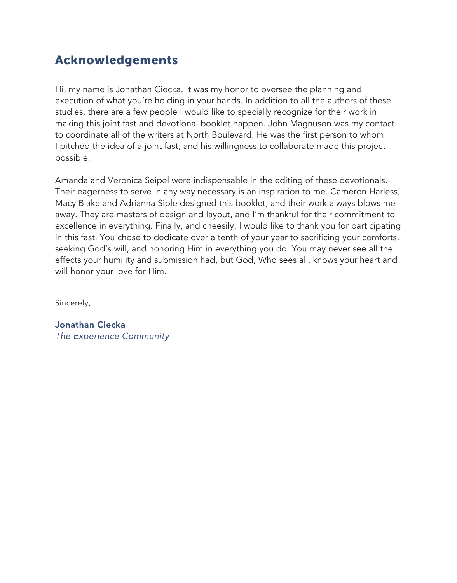### Acknowledgements

Hi, my name is Jonathan Ciecka. It was my honor to oversee the planning and execution of what you're holding in your hands. In addition to all the authors of these studies, there are a few people I would like to specially recognize for their work in making this joint fast and devotional booklet happen. John Magnuson was my contact to coordinate all of the writers at North Boulevard. He was the first person to whom I pitched the idea of a joint fast, and his willingness to collaborate made this project possible.

Amanda and Veronica Seipel were indispensable in the editing of these devotionals. Their eagerness to serve in any way necessary is an inspiration to me. Cameron Harless, Macy Blake and Adrianna Siple designed this booklet, and their work always blows me away. They are masters of design and layout, and I'm thankful for their commitment to excellence in everything. Finally, and cheesily, I would like to thank you for participating in this fast. You chose to dedicate over a tenth of your year to sacrificing your comforts, seeking God's will, and honoring Him in everything you do. You may never see all the effects your humility and submission had, but God, Who sees all, knows your heart and will honor your love for Him.

Sincerely,

Jonathan Ciecka *The Experience Community*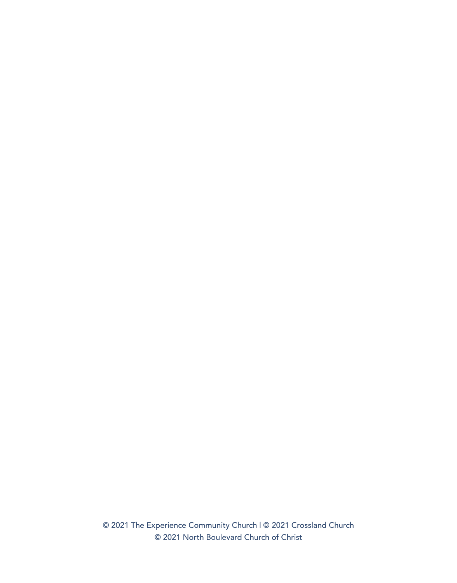© 2021 The Experience Community Church | © 2021 Crossland Church © 2021 North Boulevard Church of Christ